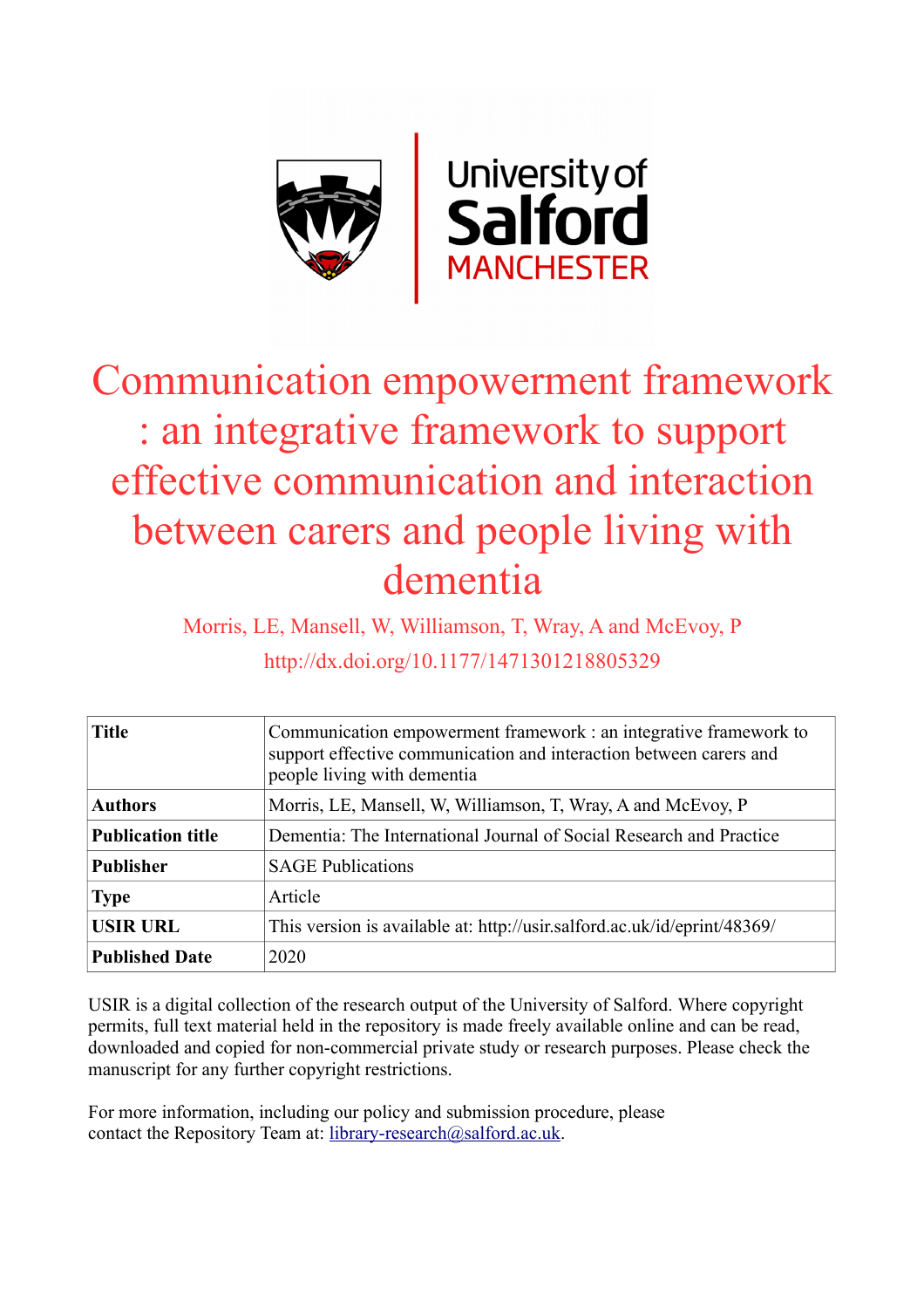

# Communication empowerment framework : an integrative framework to support effective communication and interaction between carers and people living with dementia

Morris, LE, Mansell, W, Williamson, T, Wray, A and McEvoy, P http://dx.doi.org/10.1177/1471301218805329

| <b>Title</b>             | Communication empowerment framework : an integrative framework to<br>support effective communication and interaction between carers and<br>people living with dementia |
|--------------------------|------------------------------------------------------------------------------------------------------------------------------------------------------------------------|
| <b>Authors</b>           | Morris, LE, Mansell, W, Williamson, T, Wray, A and McEvoy, P                                                                                                           |
| <b>Publication title</b> | Dementia: The International Journal of Social Research and Practice                                                                                                    |
| <b>Publisher</b>         | <b>SAGE Publications</b>                                                                                                                                               |
| <b>Type</b>              | Article                                                                                                                                                                |
| <b>USIR URL</b>          | This version is available at: http://usir.salford.ac.uk/id/eprint/48369/                                                                                               |
| <b>Published Date</b>    | 2020                                                                                                                                                                   |

USIR is a digital collection of the research output of the University of Salford. Where copyright permits, full text material held in the repository is made freely available online and can be read, downloaded and copied for non-commercial private study or research purposes. Please check the manuscript for any further copyright restrictions.

For more information, including our policy and submission procedure, please contact the Repository Team at: [library-research@salford.ac.uk.](mailto:library-research@salford.ac.uk)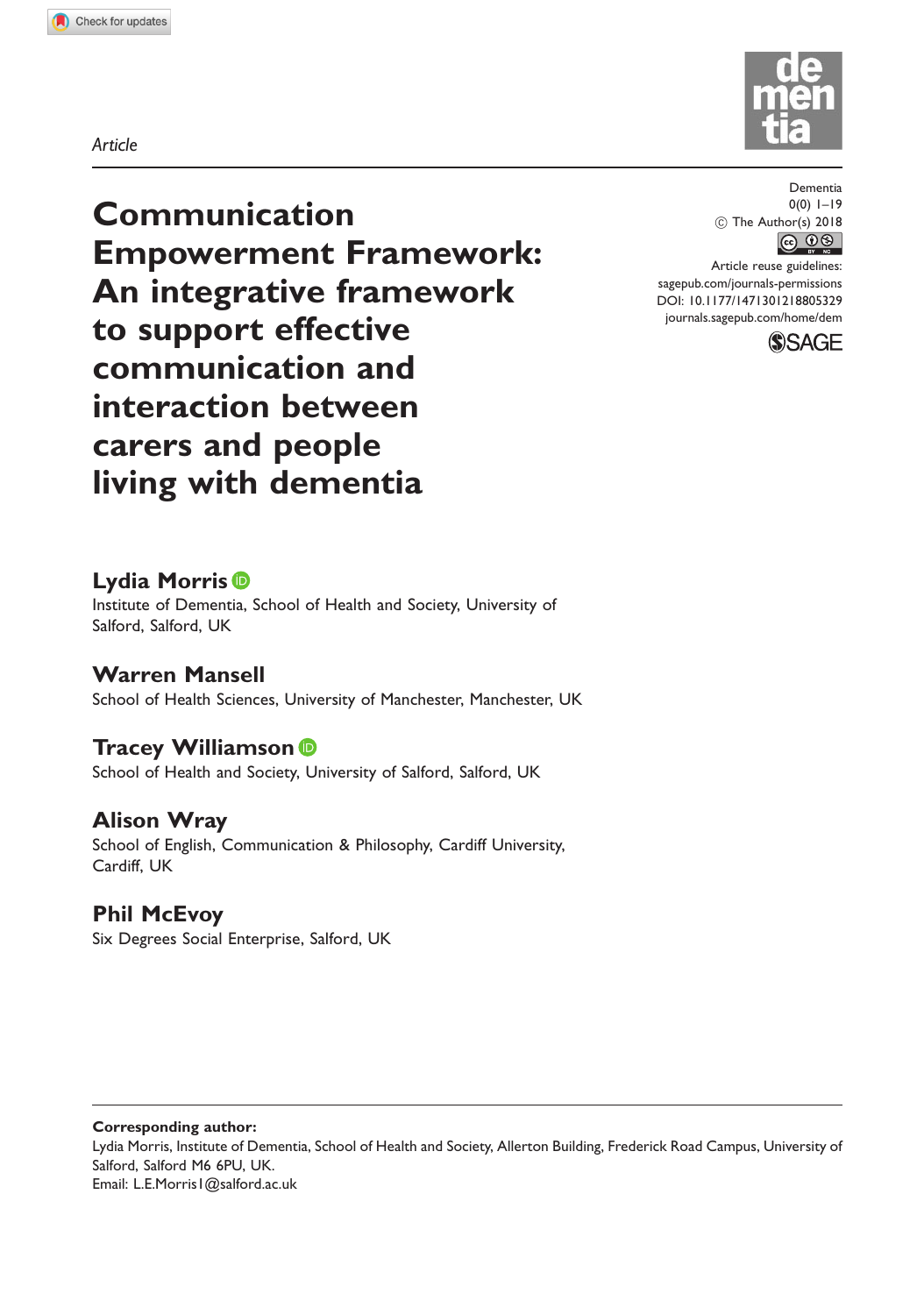Article



Communication Empowerment Framework: An integrative framework to support effective communication and interaction between carers and people living with dementia

## Lydia Morris

Institute of Dementia, School of Health and Society, University of Salford, Salford, UK

# Warren Mansell

School of Health Sciences, University of Manchester, Manchester, UK

# Tracey Williamson

School of Health and Society, University of Salford, Salford, UK

# Alison Wray

School of English, Communication & Philosophy, Cardiff University, Cardiff, UK

# Phil McEvoy

Six Degrees Social Enterprise, Salford, UK

Dementia  $0(0)$  1–19  $\circled{c}$  The Author(s) 2018

Article reuse guidelines: [sagepub.com/journals-permissions](http://uk.sagepub.com/en-gb/journals-permissions) [DOI: 10.1177/1471301218805329](http://dx.doi.org/10.1177/1471301218805329) <journals.sagepub.com/home/dem>



Corresponding author: Lydia Morris, Institute of Dementia, School of Health and Society, Allerton Building, Frederick Road Campus, University of Salford, Salford M6 6PU, UK. Email: [L.E.Morris1@salford.ac.uk](mailto:L.E.Morris1@salford.ac.uk)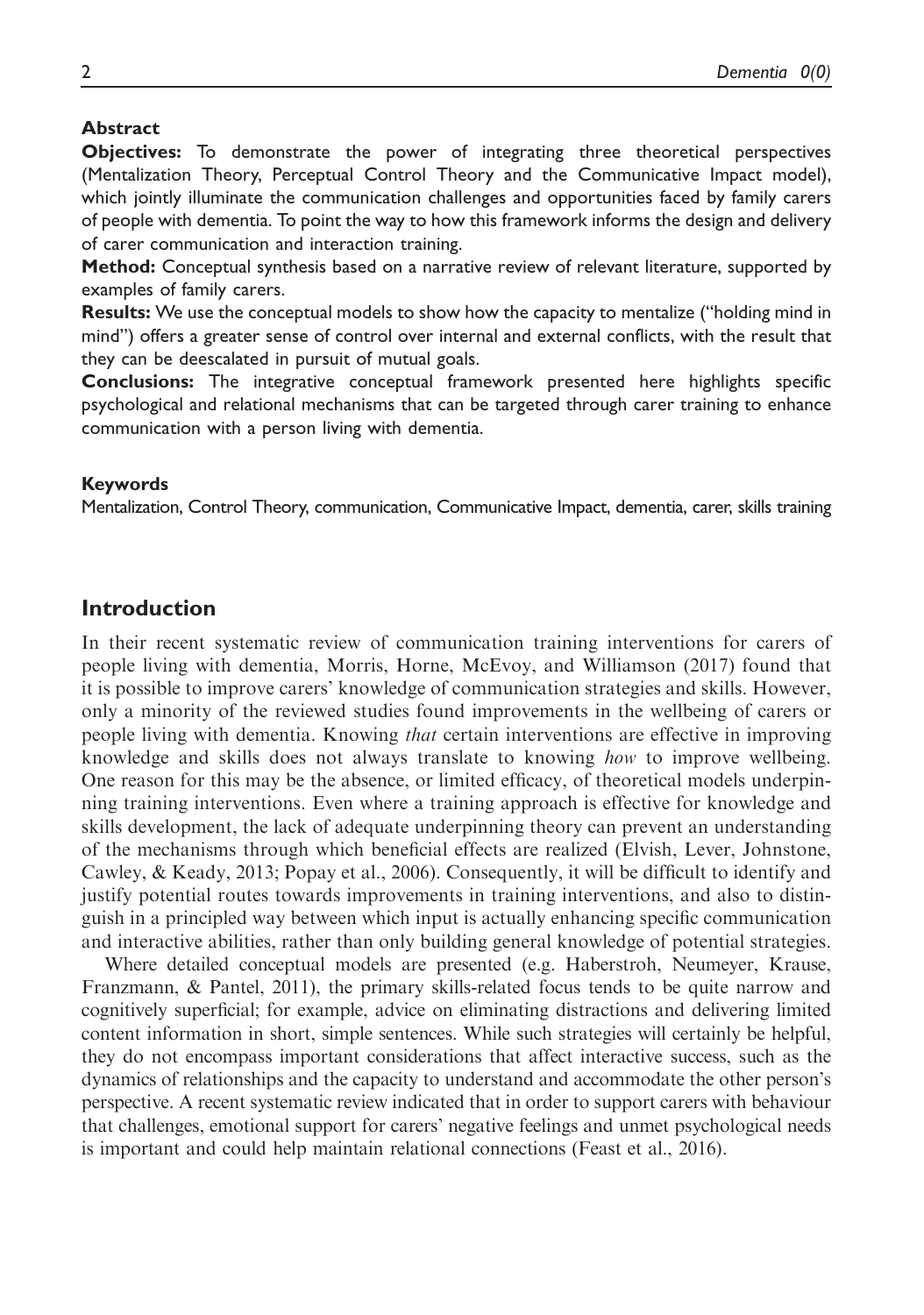#### Abstract

Objectives: To demonstrate the power of integrating three theoretical perspectives (Mentalization Theory, Perceptual Control Theory and the Communicative Impact model), which jointly illuminate the communication challenges and opportunities faced by family carers of people with dementia. To point the way to how this framework informs the design and delivery of carer communication and interaction training.

Method: Conceptual synthesis based on a narrative review of relevant literature, supported by examples of family carers.

Results: We use the conceptual models to show how the capacity to mentalize ("holding mind in mind") offers a greater sense of control over internal and external conflicts, with the result that they can be deescalated in pursuit of mutual goals.

Conclusions: The integrative conceptual framework presented here highlights specific psychological and relational mechanisms that can be targeted through carer training to enhance communication with a person living with dementia.

#### Keywords

Mentalization, Control Theory, communication, Communicative Impact, dementia, carer, skills training

## Introduction

In their recent systematic review of communication training interventions for carers of people living with dementia, Morris, Horne, McEvoy, and Williamson (2017) found that it is possible to improve carers' knowledge of communication strategies and skills. However, only a minority of the reviewed studies found improvements in the wellbeing of carers or people living with dementia. Knowing that certain interventions are effective in improving knowledge and skills does not always translate to knowing how to improve wellbeing. One reason for this may be the absence, or limited efficacy, of theoretical models underpinning training interventions. Even where a training approach is effective for knowledge and skills development, the lack of adequate underpinning theory can prevent an understanding of the mechanisms through which beneficial effects are realized (Elvish, Lever, Johnstone, Cawley, & Keady, 2013; Popay et al., 2006). Consequently, it will be difficult to identify and justify potential routes towards improvements in training interventions, and also to distinguish in a principled way between which input is actually enhancing specific communication and interactive abilities, rather than only building general knowledge of potential strategies.

Where detailed conceptual models are presented (e.g. Haberstroh, Neumeyer, Krause, Franzmann, & Pantel, 2011), the primary skills-related focus tends to be quite narrow and cognitively superficial; for example, advice on eliminating distractions and delivering limited content information in short, simple sentences. While such strategies will certainly be helpful, they do not encompass important considerations that affect interactive success, such as the dynamics of relationships and the capacity to understand and accommodate the other person's perspective. A recent systematic review indicated that in order to support carers with behaviour that challenges, emotional support for carers' negative feelings and unmet psychological needs is important and could help maintain relational connections (Feast et al., 2016).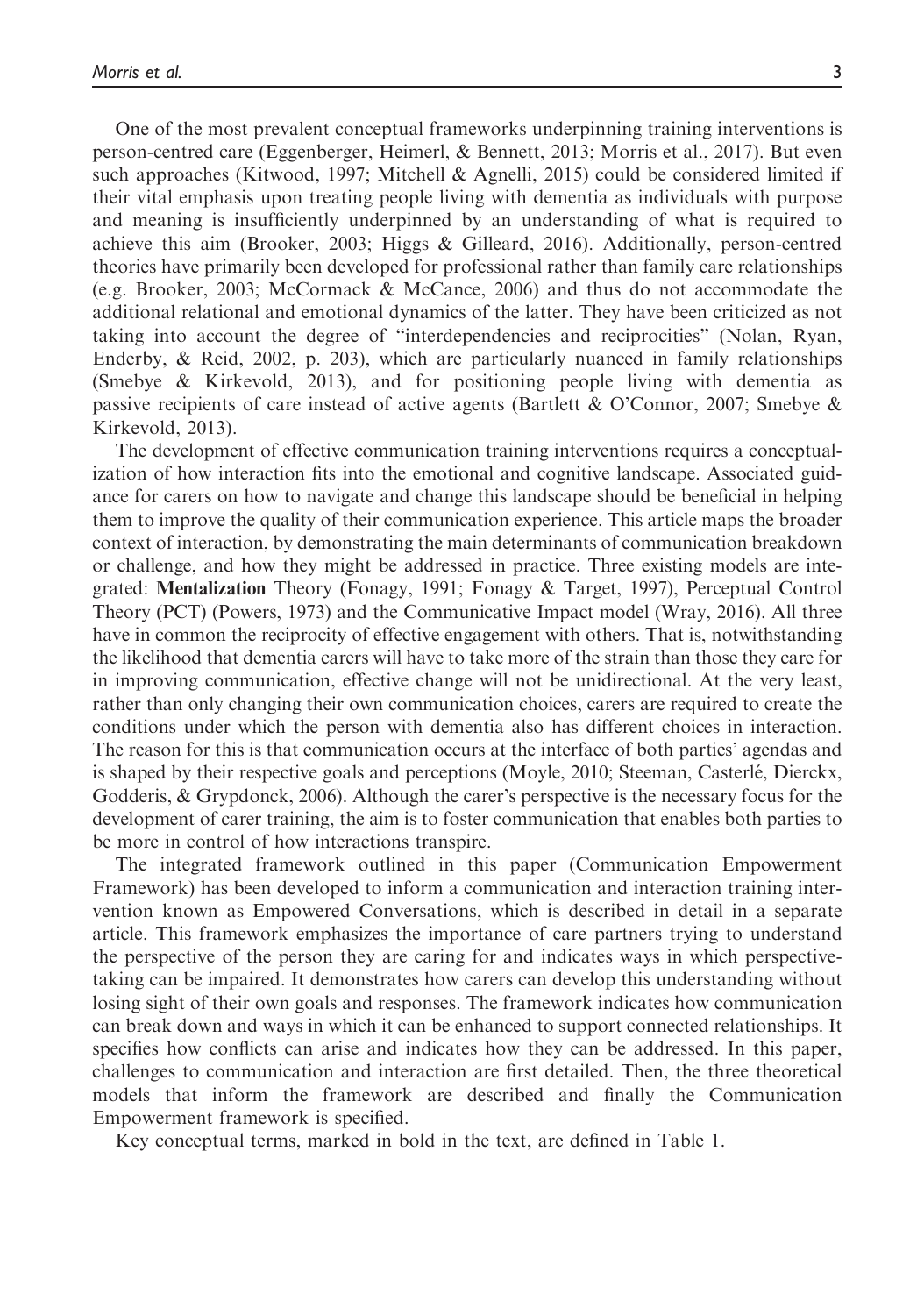One of the most prevalent conceptual frameworks underpinning training interventions is person-centred care (Eggenberger, Heimerl, & Bennett, 2013; Morris et al., 2017). But even such approaches (Kitwood, 1997; Mitchell & Agnelli, 2015) could be considered limited if their vital emphasis upon treating people living with dementia as individuals with purpose and meaning is insufficiently underpinned by an understanding of what is required to achieve this aim (Brooker, 2003; Higgs & Gilleard, 2016). Additionally, person-centred theories have primarily been developed for professional rather than family care relationships (e.g. Brooker, 2003; McCormack & McCance, 2006) and thus do not accommodate the additional relational and emotional dynamics of the latter. They have been criticized as not taking into account the degree of "interdependencies and reciprocities" (Nolan, Ryan, Enderby, & Reid, 2002, p. 203), which are particularly nuanced in family relationships (Smebye & Kirkevold, 2013), and for positioning people living with dementia as passive recipients of care instead of active agents (Bartlett & O'Connor, 2007; Smebye & Kirkevold, 2013).

The development of effective communication training interventions requires a conceptualization of how interaction fits into the emotional and cognitive landscape. Associated guidance for carers on how to navigate and change this landscape should be beneficial in helping them to improve the quality of their communication experience. This article maps the broader context of interaction, by demonstrating the main determinants of communication breakdown or challenge, and how they might be addressed in practice. Three existing models are integrated: Mentalization Theory (Fonagy, 1991; Fonagy & Target, 1997), Perceptual Control Theory (PCT) (Powers, 1973) and the Communicative Impact model (Wray, 2016). All three have in common the reciprocity of effective engagement with others. That is, notwithstanding the likelihood that dementia carers will have to take more of the strain than those they care for in improving communication, effective change will not be unidirectional. At the very least, rather than only changing their own communication choices, carers are required to create the conditions under which the person with dementia also has different choices in interaction. The reason for this is that communication occurs at the interface of both parties' agendas and is shaped by their respective goals and perceptions (Moyle, 2010; Steeman, Casterlé, Dierckx, Godderis, & Grypdonck, 2006). Although the carer's perspective is the necessary focus for the development of carer training, the aim is to foster communication that enables both parties to be more in control of how interactions transpire.

The integrated framework outlined in this paper (Communication Empowerment Framework) has been developed to inform a communication and interaction training intervention known as Empowered Conversations, which is described in detail in a separate article. This framework emphasizes the importance of care partners trying to understand the perspective of the person they are caring for and indicates ways in which perspectivetaking can be impaired. It demonstrates how carers can develop this understanding without losing sight of their own goals and responses. The framework indicates how communication can break down and ways in which it can be enhanced to support connected relationships. It specifies how conflicts can arise and indicates how they can be addressed. In this paper, challenges to communication and interaction are first detailed. Then, the three theoretical models that inform the framework are described and finally the Communication Empowerment framework is specified.

Key conceptual terms, marked in bold in the text, are defined in Table 1.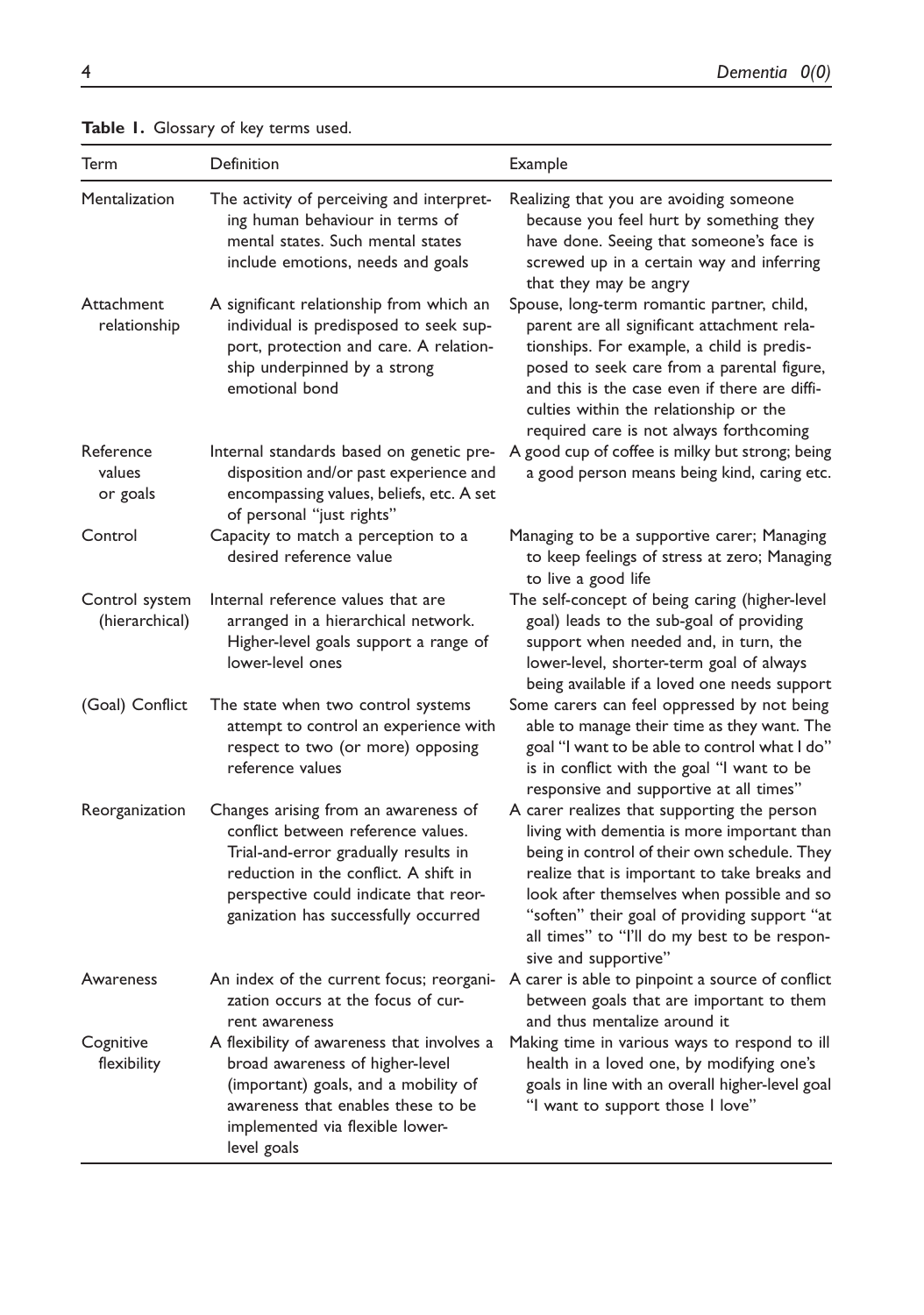| Term                             | Definition                                                                                                                                                                                                                                   | Example                                                                                                                                                                                                                                                                                                                                                          |
|----------------------------------|----------------------------------------------------------------------------------------------------------------------------------------------------------------------------------------------------------------------------------------------|------------------------------------------------------------------------------------------------------------------------------------------------------------------------------------------------------------------------------------------------------------------------------------------------------------------------------------------------------------------|
| Mentalization                    | The activity of perceiving and interpret-<br>ing human behaviour in terms of<br>mental states. Such mental states<br>include emotions, needs and goals                                                                                       | Realizing that you are avoiding someone<br>because you feel hurt by something they<br>have done. Seeing that someone's face is<br>screwed up in a certain way and inferring<br>that they may be angry                                                                                                                                                            |
| Attachment<br>relationship       | A significant relationship from which an<br>individual is predisposed to seek sup-<br>port, protection and care. A relation-<br>ship underpinned by a strong<br>emotional bond                                                               | Spouse, long-term romantic partner, child,<br>parent are all significant attachment rela-<br>tionships. For example, a child is predis-<br>posed to seek care from a parental figure,<br>and this is the case even if there are diffi-<br>culties within the relationship or the<br>required care is not always forthcoming                                      |
| Reference<br>values<br>or goals  | Internal standards based on genetic pre-<br>disposition and/or past experience and<br>encompassing values, beliefs, etc. A set<br>of personal "just rights"                                                                                  | A good cup of coffee is milky but strong; being<br>a good person means being kind, caring etc.                                                                                                                                                                                                                                                                   |
| Control                          | Capacity to match a perception to a<br>desired reference value                                                                                                                                                                               | Managing to be a supportive carer; Managing<br>to keep feelings of stress at zero; Managing<br>to live a good life                                                                                                                                                                                                                                               |
| Control system<br>(hierarchical) | Internal reference values that are<br>arranged in a hierarchical network.<br>Higher-level goals support a range of<br>lower-level ones                                                                                                       | The self-concept of being caring (higher-level<br>goal) leads to the sub-goal of providing<br>support when needed and, in turn, the<br>lower-level, shorter-term goal of always<br>being available if a loved one needs support                                                                                                                                  |
| (Goal) Conflict                  | The state when two control systems<br>attempt to control an experience with<br>respect to two (or more) opposing<br>reference values                                                                                                         | Some carers can feel oppressed by not being<br>able to manage their time as they want. The<br>goal "I want to be able to control what I do"<br>is in conflict with the goal "I want to be<br>responsive and supportive at all times"                                                                                                                             |
| Reorganization                   | Changes arising from an awareness of<br>conflict between reference values.<br>Trial-and-error gradually results in<br>reduction in the conflict. A shift in<br>perspective could indicate that reor-<br>ganization has successfully occurred | A carer realizes that supporting the person<br>living with dementia is more important than<br>being in control of their own schedule. They<br>realize that is important to take breaks and<br>look after themselves when possible and so<br>"soften" their goal of providing support "at<br>all times" to "I'll do my best to be respon-<br>sive and supportive" |
| Awareness                        | An index of the current focus; reorgani-<br>zation occurs at the focus of cur-<br>rent awareness                                                                                                                                             | A carer is able to pinpoint a source of conflict<br>between goals that are important to them<br>and thus mentalize around it                                                                                                                                                                                                                                     |
| Cognitive<br>flexibility         | A flexibility of awareness that involves a<br>broad awareness of higher-level<br>(important) goals, and a mobility of<br>awareness that enables these to be<br>implemented via flexible lower-<br>level goals                                | Making time in various ways to respond to ill<br>health in a loved one, by modifying one's<br>goals in line with an overall higher-level goal<br>"I want to support those I love"                                                                                                                                                                                |

## Table 1. Glossary of key terms used.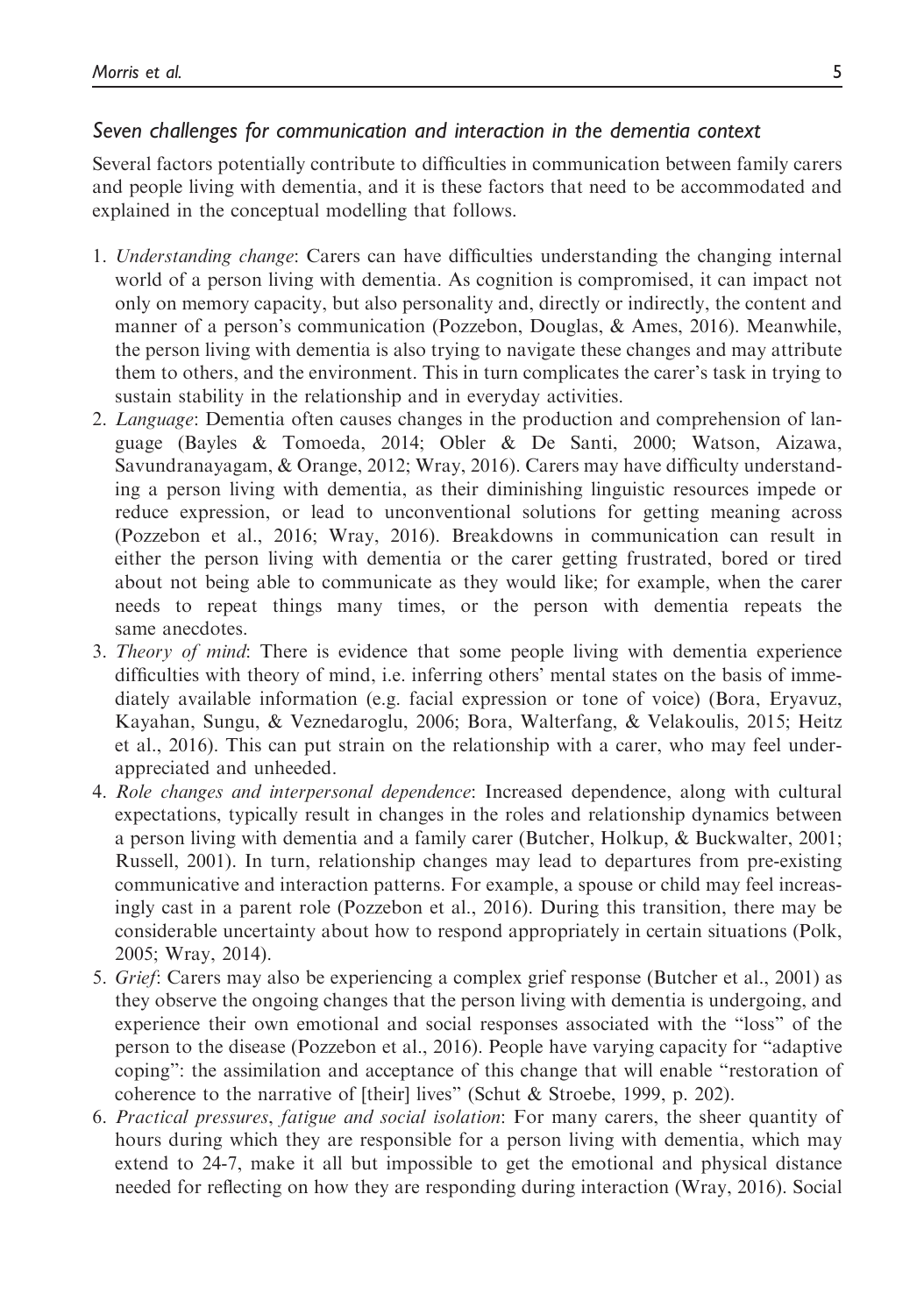## Seven challenges for communication and interaction in the dementia context

Several factors potentially contribute to difficulties in communication between family carers and people living with dementia, and it is these factors that need to be accommodated and explained in the conceptual modelling that follows.

- 1. Understanding change: Carers can have difficulties understanding the changing internal world of a person living with dementia. As cognition is compromised, it can impact not only on memory capacity, but also personality and, directly or indirectly, the content and manner of a person's communication (Pozzebon, Douglas, & Ames, 2016). Meanwhile, the person living with dementia is also trying to navigate these changes and may attribute them to others, and the environment. This in turn complicates the carer's task in trying to sustain stability in the relationship and in everyday activities.
- 2. Language: Dementia often causes changes in the production and comprehension of language (Bayles & Tomoeda, 2014; Obler & De Santi, 2000; Watson, Aizawa, Savundranayagam, & Orange, 2012; Wray, 2016). Carers may have difficulty understanding a person living with dementia, as their diminishing linguistic resources impede or reduce expression, or lead to unconventional solutions for getting meaning across (Pozzebon et al., 2016; Wray, 2016). Breakdowns in communication can result in either the person living with dementia or the carer getting frustrated, bored or tired about not being able to communicate as they would like; for example, when the carer needs to repeat things many times, or the person with dementia repeats the same anecdotes.
- 3. Theory of mind: There is evidence that some people living with dementia experience difficulties with theory of mind, i.e. inferring others' mental states on the basis of immediately available information (e.g. facial expression or tone of voice) (Bora, Eryavuz, Kayahan, Sungu, & Veznedaroglu, 2006; Bora, Walterfang, & Velakoulis, 2015; Heitz et al., 2016). This can put strain on the relationship with a carer, who may feel underappreciated and unheeded.
- 4. Role changes and interpersonal dependence: Increased dependence, along with cultural expectations, typically result in changes in the roles and relationship dynamics between a person living with dementia and a family carer (Butcher, Holkup, & Buckwalter, 2001; Russell, 2001). In turn, relationship changes may lead to departures from pre-existing communicative and interaction patterns. For example, a spouse or child may feel increasingly cast in a parent role (Pozzebon et al., 2016). During this transition, there may be considerable uncertainty about how to respond appropriately in certain situations (Polk, 2005; Wray, 2014).
- 5. Grief: Carers may also be experiencing a complex grief response (Butcher et al., 2001) as they observe the ongoing changes that the person living with dementia is undergoing, and experience their own emotional and social responses associated with the "loss" of the person to the disease (Pozzebon et al., 2016). People have varying capacity for "adaptive coping": the assimilation and acceptance of this change that will enable "restoration of coherence to the narrative of [their] lives" (Schut & Stroebe, 1999, p. 202).
- 6. Practical pressures, fatigue and social isolation: For many carers, the sheer quantity of hours during which they are responsible for a person living with dementia, which may extend to 24-7, make it all but impossible to get the emotional and physical distance needed for reflecting on how they are responding during interaction (Wray, 2016). Social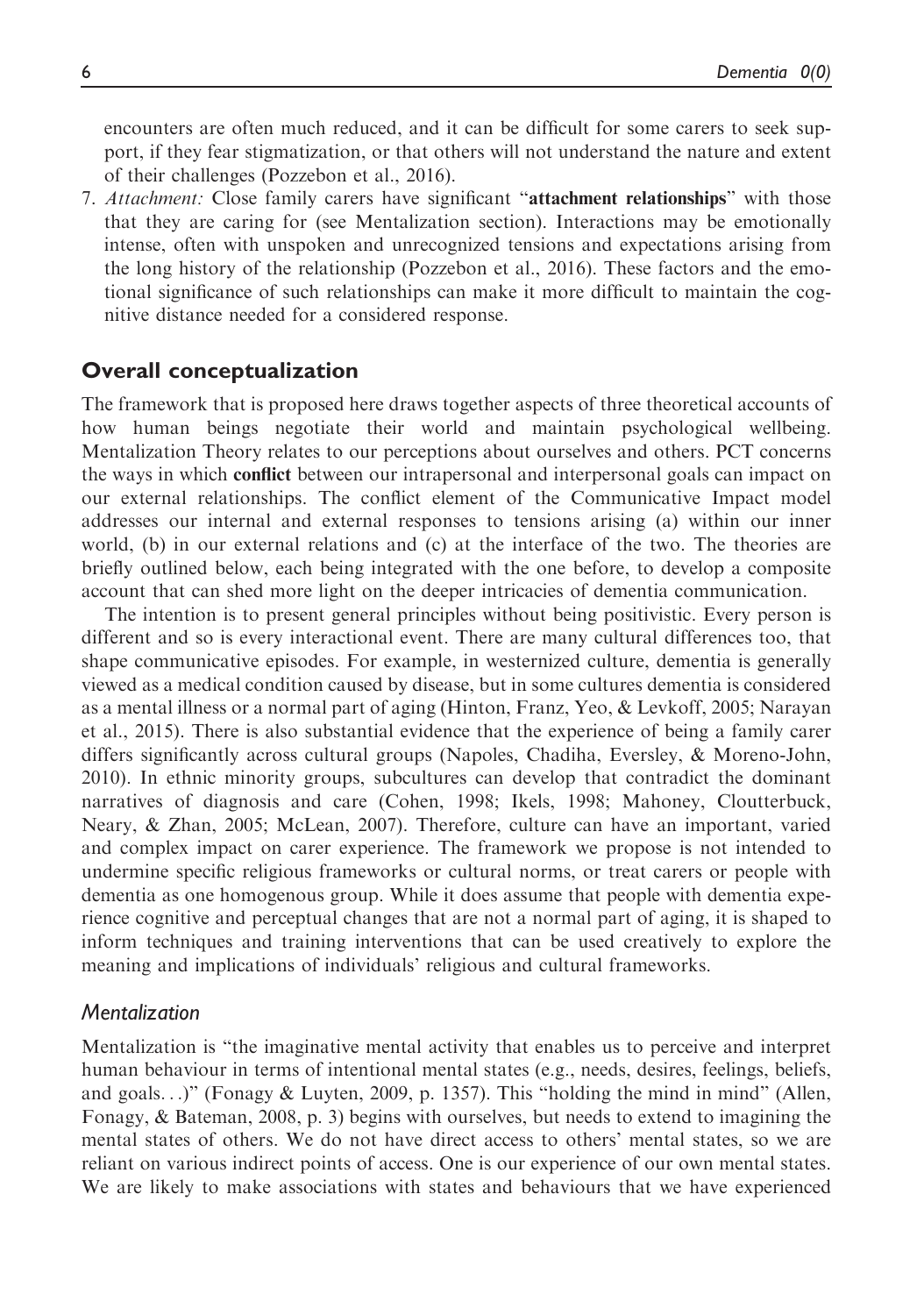encounters are often much reduced, and it can be difficult for some carers to seek support, if they fear stigmatization, or that others will not understand the nature and extent of their challenges (Pozzebon et al., 2016).

7. Attachment: Close family carers have significant "**attachment relationships**" with those that they are caring for (see Mentalization section). Interactions may be emotionally intense, often with unspoken and unrecognized tensions and expectations arising from the long history of the relationship (Pozzebon et al., 2016). These factors and the emotional significance of such relationships can make it more difficult to maintain the cognitive distance needed for a considered response.

## Overall conceptualization

The framework that is proposed here draws together aspects of three theoretical accounts of how human beings negotiate their world and maintain psychological wellbeing. Mentalization Theory relates to our perceptions about ourselves and others. PCT concerns the ways in which conflict between our intrapersonal and interpersonal goals can impact on our external relationships. The conflict element of the Communicative Impact model addresses our internal and external responses to tensions arising (a) within our inner world, (b) in our external relations and (c) at the interface of the two. The theories are briefly outlined below, each being integrated with the one before, to develop a composite account that can shed more light on the deeper intricacies of dementia communication.

The intention is to present general principles without being positivistic. Every person is different and so is every interactional event. There are many cultural differences too, that shape communicative episodes. For example, in westernized culture, dementia is generally viewed as a medical condition caused by disease, but in some cultures dementia is considered as a mental illness or a normal part of aging (Hinton, Franz, Yeo, & Levkoff, 2005; Narayan et al., 2015). There is also substantial evidence that the experience of being a family carer differs significantly across cultural groups (Napoles, Chadiha, Eversley, & Moreno-John, 2010). In ethnic minority groups, subcultures can develop that contradict the dominant narratives of diagnosis and care (Cohen, 1998; Ikels, 1998; Mahoney, Cloutterbuck, Neary, & Zhan, 2005; McLean, 2007). Therefore, culture can have an important, varied and complex impact on carer experience. The framework we propose is not intended to undermine specific religious frameworks or cultural norms, or treat carers or people with dementia as one homogenous group. While it does assume that people with dementia experience cognitive and perceptual changes that are not a normal part of aging, it is shaped to inform techniques and training interventions that can be used creatively to explore the meaning and implications of individuals' religious and cultural frameworks.

### Mentalization

Mentalization is "the imaginative mental activity that enables us to perceive and interpret human behaviour in terms of intentional mental states (e.g., needs, desires, feelings, beliefs, and goals...)" (Fonagy & Luyten, 2009, p. 1357). This "holding the mind in mind" (Allen, Fonagy, & Bateman, 2008, p. 3) begins with ourselves, but needs to extend to imagining the mental states of others. We do not have direct access to others' mental states, so we are reliant on various indirect points of access. One is our experience of our own mental states. We are likely to make associations with states and behaviours that we have experienced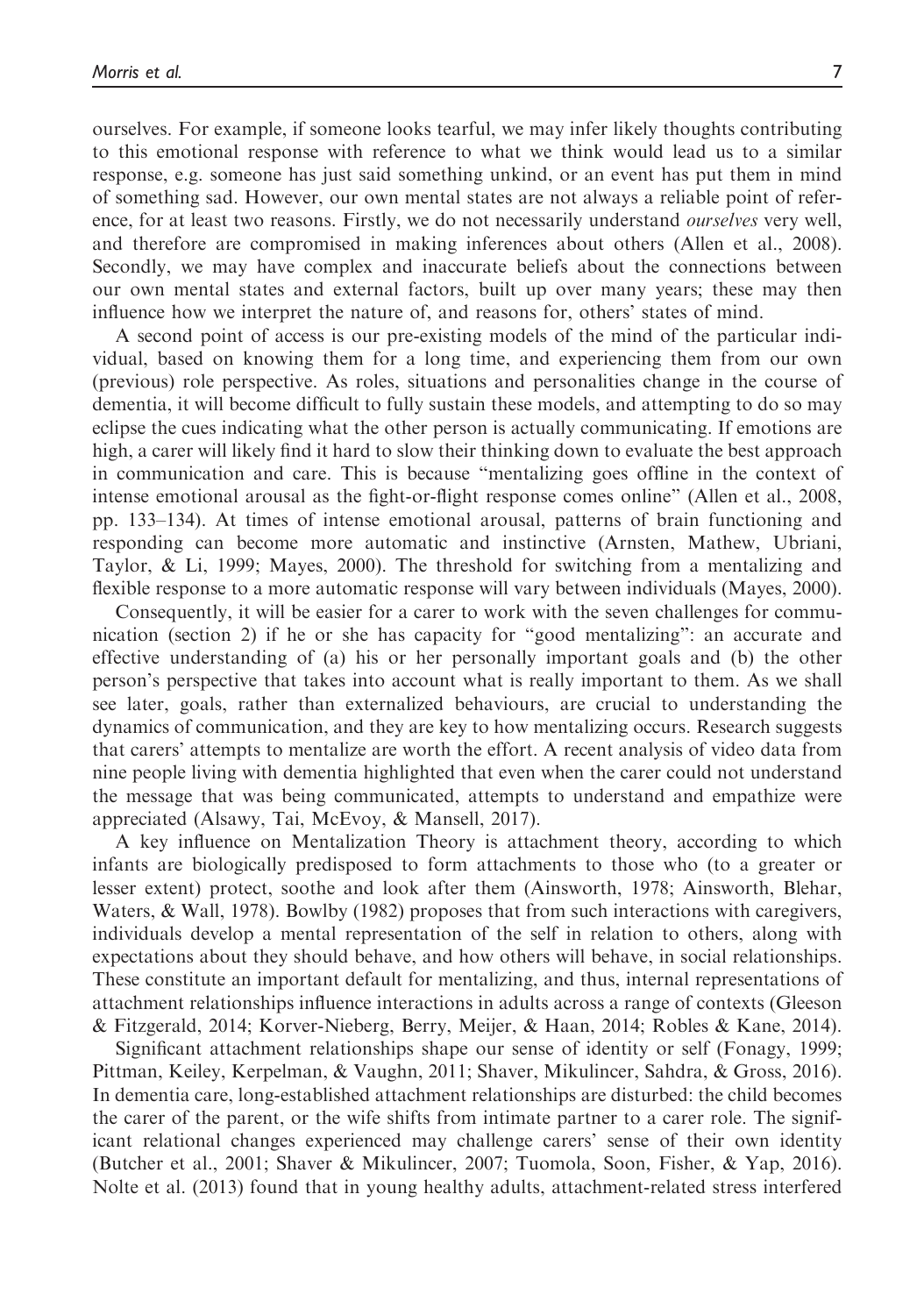ourselves. For example, if someone looks tearful, we may infer likely thoughts contributing to this emotional response with reference to what we think would lead us to a similar response, e.g. someone has just said something unkind, or an event has put them in mind of something sad. However, our own mental states are not always a reliable point of reference, for at least two reasons. Firstly, we do not necessarily understand *ourselves* very well, and therefore are compromised in making inferences about others (Allen et al., 2008). Secondly, we may have complex and inaccurate beliefs about the connections between our own mental states and external factors, built up over many years; these may then influence how we interpret the nature of, and reasons for, others' states of mind.

A second point of access is our pre-existing models of the mind of the particular individual, based on knowing them for a long time, and experiencing them from our own (previous) role perspective. As roles, situations and personalities change in the course of dementia, it will become difficult to fully sustain these models, and attempting to do so may eclipse the cues indicating what the other person is actually communicating. If emotions are high, a carer will likely find it hard to slow their thinking down to evaluate the best approach in communication and care. This is because "mentalizing goes offline in the context of intense emotional arousal as the fight-or-flight response comes online" (Allen et al., 2008, pp. 133–134). At times of intense emotional arousal, patterns of brain functioning and responding can become more automatic and instinctive (Arnsten, Mathew, Ubriani, Taylor, & Li, 1999; Mayes, 2000). The threshold for switching from a mentalizing and flexible response to a more automatic response will vary between individuals (Mayes, 2000).

Consequently, it will be easier for a carer to work with the seven challenges for communication (section 2) if he or she has capacity for "good mentalizing": an accurate and effective understanding of (a) his or her personally important goals and (b) the other person's perspective that takes into account what is really important to them. As we shall see later, goals, rather than externalized behaviours, are crucial to understanding the dynamics of communication, and they are key to how mentalizing occurs. Research suggests that carers' attempts to mentalize are worth the effort. A recent analysis of video data from nine people living with dementia highlighted that even when the carer could not understand the message that was being communicated, attempts to understand and empathize were appreciated (Alsawy, Tai, McEvoy, & Mansell, 2017).

A key influence on Mentalization Theory is attachment theory, according to which infants are biologically predisposed to form attachments to those who (to a greater or lesser extent) protect, soothe and look after them (Ainsworth, 1978; Ainsworth, Blehar, Waters, & Wall, 1978). Bowlby (1982) proposes that from such interactions with caregivers, individuals develop a mental representation of the self in relation to others, along with expectations about they should behave, and how others will behave, in social relationships. These constitute an important default for mentalizing, and thus, internal representations of attachment relationships influence interactions in adults across a range of contexts (Gleeson & Fitzgerald, 2014; Korver-Nieberg, Berry, Meijer, & Haan, 2014; Robles & Kane, 2014).

Significant attachment relationships shape our sense of identity or self (Fonagy, 1999; Pittman, Keiley, Kerpelman, & Vaughn, 2011; Shaver, Mikulincer, Sahdra, & Gross, 2016). In dementia care, long-established attachment relationships are disturbed: the child becomes the carer of the parent, or the wife shifts from intimate partner to a carer role. The significant relational changes experienced may challenge carers' sense of their own identity (Butcher et al., 2001; Shaver & Mikulincer, 2007; Tuomola, Soon, Fisher, & Yap, 2016). Nolte et al. (2013) found that in young healthy adults, attachment-related stress interfered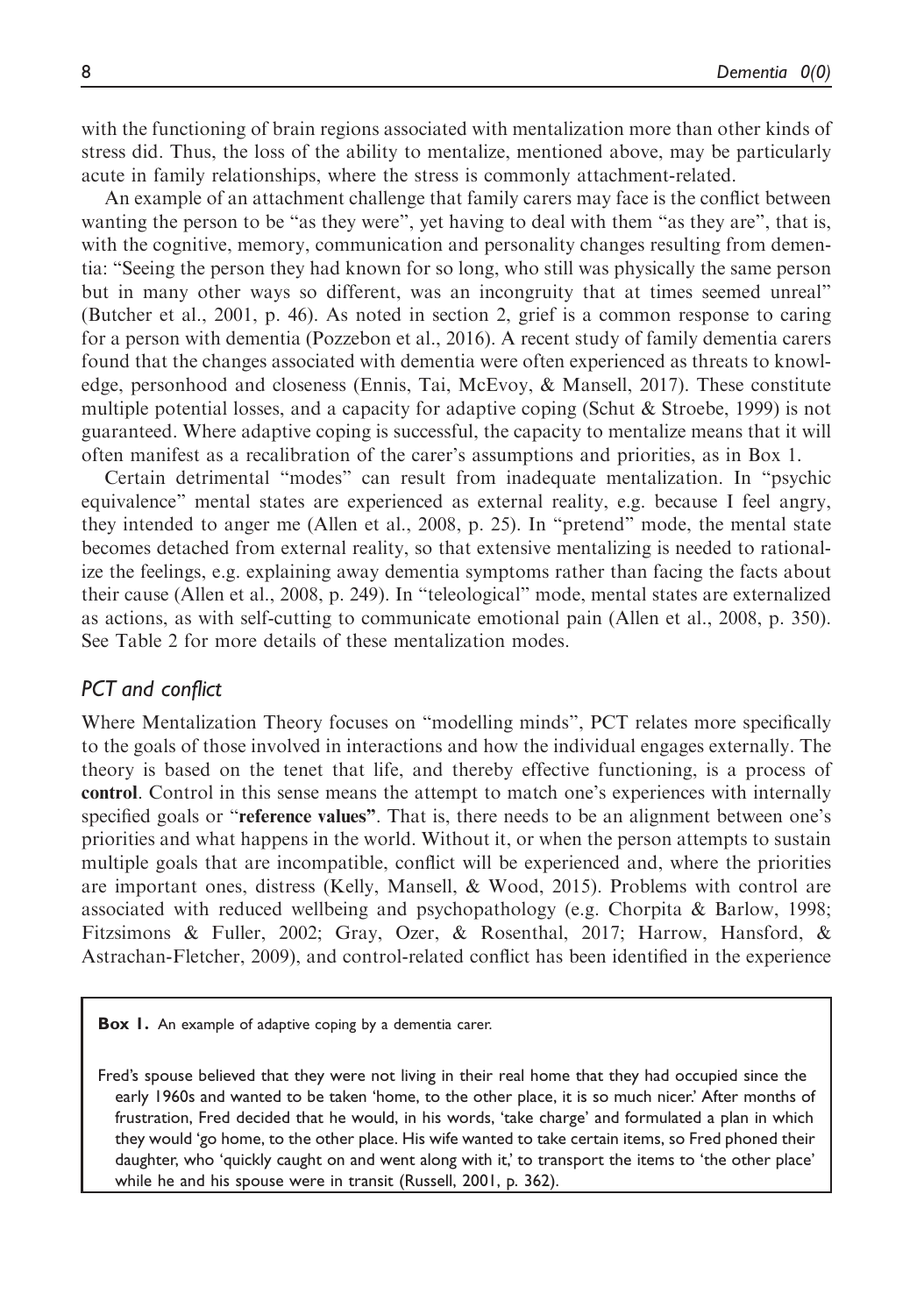with the functioning of brain regions associated with mentalization more than other kinds of stress did. Thus, the loss of the ability to mentalize, mentioned above, may be particularly acute in family relationships, where the stress is commonly attachment-related.

An example of an attachment challenge that family carers may face is the conflict between wanting the person to be "as they were", yet having to deal with them "as they are", that is, with the cognitive, memory, communication and personality changes resulting from dementia: "Seeing the person they had known for so long, who still was physically the same person but in many other ways so different, was an incongruity that at times seemed unreal" (Butcher et al., 2001, p. 46). As noted in section 2, grief is a common response to caring for a person with dementia (Pozzebon et al., 2016). A recent study of family dementia carers found that the changes associated with dementia were often experienced as threats to knowledge, personhood and closeness (Ennis, Tai, McEvoy, & Mansell, 2017). These constitute multiple potential losses, and a capacity for adaptive coping (Schut & Stroebe, 1999) is not guaranteed. Where adaptive coping is successful, the capacity to mentalize means that it will often manifest as a recalibration of the carer's assumptions and priorities, as in Box 1.

Certain detrimental "modes" can result from inadequate mentalization. In "psychic equivalence" mental states are experienced as external reality, e.g. because I feel angry, they intended to anger me (Allen et al., 2008, p. 25). In "pretend" mode, the mental state becomes detached from external reality, so that extensive mentalizing is needed to rationalize the feelings, e.g. explaining away dementia symptoms rather than facing the facts about their cause (Allen et al., 2008, p. 249). In "teleological" mode, mental states are externalized as actions, as with self-cutting to communicate emotional pain (Allen et al., 2008, p. 350). See Table 2 for more details of these mentalization modes.

## PCT and conflict

Where Mentalization Theory focuses on "modelling minds", PCT relates more specifically to the goals of those involved in interactions and how the individual engages externally. The theory is based on the tenet that life, and thereby effective functioning, is a process of control. Control in this sense means the attempt to match one's experiences with internally specified goals or "reference values". That is, there needs to be an alignment between one's priorities and what happens in the world. Without it, or when the person attempts to sustain multiple goals that are incompatible, conflict will be experienced and, where the priorities are important ones, distress (Kelly, Mansell, & Wood, 2015). Problems with control are associated with reduced wellbeing and psychopathology (e.g. Chorpita & Barlow, 1998; Fitzsimons & Fuller, 2002; Gray, Ozer, & Rosenthal, 2017; Harrow, Hansford, & Astrachan-Fletcher, 2009), and control-related conflict has been identified in the experience

Fred's spouse believed that they were not living in their real home that they had occupied since the early 1960s and wanted to be taken 'home, to the other place, it is so much nicer.' After months of frustration, Fred decided that he would, in his words, 'take charge' and formulated a plan in which they would 'go home, to the other place. His wife wanted to take certain items, so Fred phoned their daughter, who 'quickly caught on and went along with it,' to transport the items to 'the other place' while he and his spouse were in transit (Russell, 2001, p. 362).

Box 1. An example of adaptive coping by a dementia carer.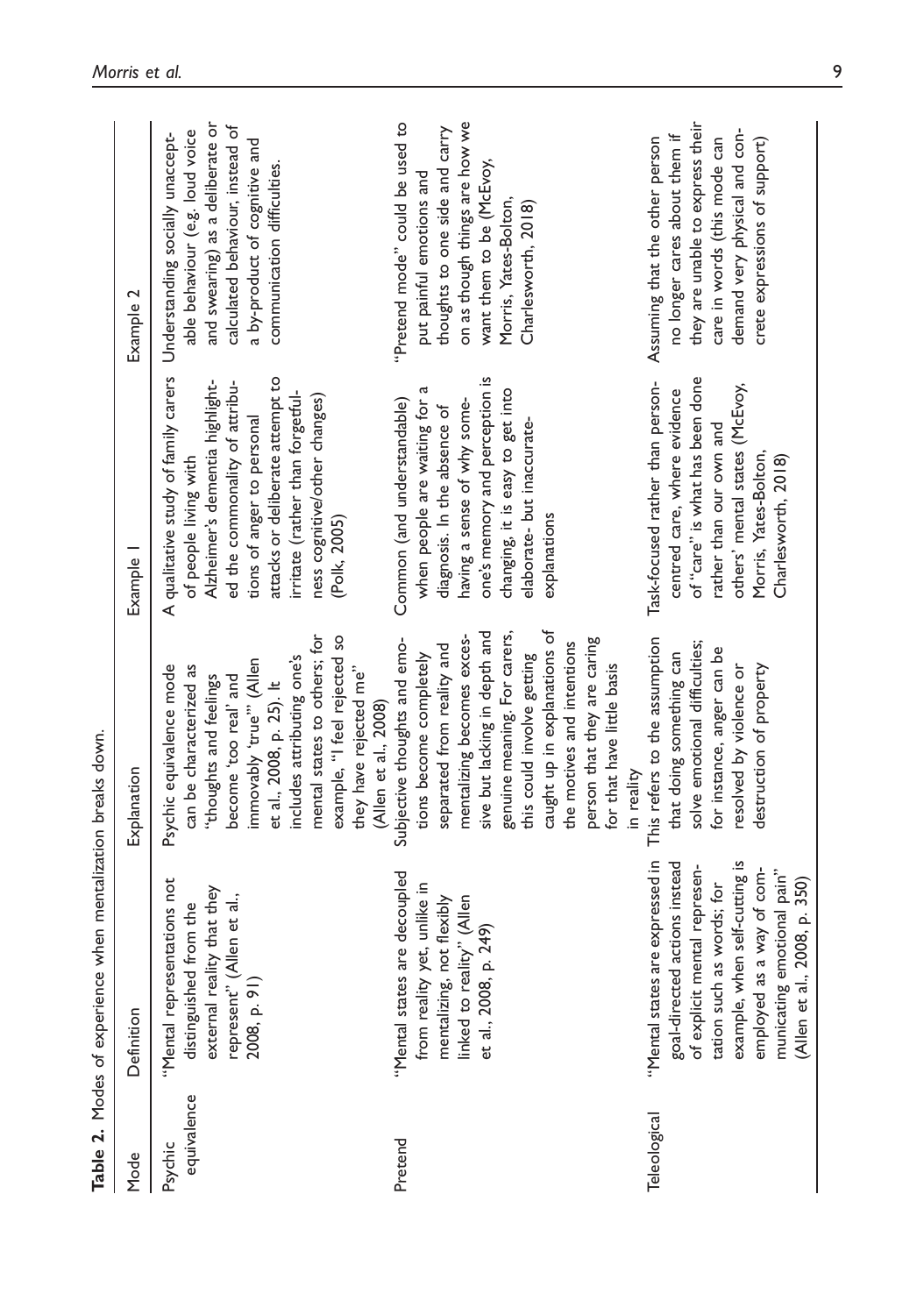|                        | Table 2. Modes of experience when mentalization breaks down.                                                                                                                                                                                                  |                                                                                                                                                                                                                                                                                                                                                             |                                                                                                                                                                                                                                                                                           |                                                                                                                                                                                                             |
|------------------------|---------------------------------------------------------------------------------------------------------------------------------------------------------------------------------------------------------------------------------------------------------------|-------------------------------------------------------------------------------------------------------------------------------------------------------------------------------------------------------------------------------------------------------------------------------------------------------------------------------------------------------------|-------------------------------------------------------------------------------------------------------------------------------------------------------------------------------------------------------------------------------------------------------------------------------------------|-------------------------------------------------------------------------------------------------------------------------------------------------------------------------------------------------------------|
| Mode                   | Definition                                                                                                                                                                                                                                                    | Explanation                                                                                                                                                                                                                                                                                                                                                 | Example I                                                                                                                                                                                                                                                                                 | Example 2                                                                                                                                                                                                   |
| equivalence<br>Psychic | "Mental representations not<br>external reality that they<br>represent" (Allen et al.,<br>distinguished from the<br>2008, p. 91)                                                                                                                              | mental states to others; for<br>example, "I feel rejected so<br>includes attributing one's<br>immovably 'true" (Allen<br>Psychic equivalence mode<br>can be characterized as<br>they have rejected me"<br>"thoughts and feelings<br>become 'too real' and<br>et al., 2008, p. 25). It<br>(Allen et al., 2008)                                               | A qualitative study of family carers<br>attacks or deliberate attempt to<br>Alzheimer's dementia highlight-<br>ed the commonality of attribu-<br>irritate (rather than forgetful-<br>ness cognitive/other changes)<br>tions of anger to personal<br>of people living with<br>(Polk, 2005) | and swearing) as a deliberate or<br>calculated behaviour, instead of<br>able behaviour (e.g. loud voice<br>Understanding socially unaccept-<br>a by-product of cognitive and<br>communication difficulties. |
| Pretend                | are decoupled<br>yet, unlike in<br>not flexibly<br>linked to reality" (Allen<br>et al., 2008, p. 249)<br>"Mental states<br>from reality<br>mentalizing,                                                                                                       | caught up in explanations of<br>sive but lacking in depth and<br>genuine meaning. For carers,<br>mentalizing becomes exces-<br>person that they are caring<br>Subjective thoughts and emo-<br>the motives and intentions<br>separated from reality and<br>tions become completely<br>this could involve getting<br>for that have little basis<br>in reality | one's memory and perception is<br>a<br>changing, it is easy to get into<br>when people are waiting for<br>having a sense of why some-<br>Common (and understandable)<br>diagnosis. In the absence of<br>elaborate- but inaccurate-<br>explanations                                        | "Pretend mode" could be used to<br>on as though things are how we<br>thoughts to one side and carry<br>want them to be (McEvoy,<br>put painful emotions and<br>Morris, Yates-Bolton,<br>Charlesworth, 2018) |
| Teleological           | example, when self-cutting is<br>"Mental states are expressed in<br>goal-directed actions instead<br>of explicit mental represen-<br>employed as a way of com-<br>municating emotional pain"<br>, 2008, p. 350)<br>tation such as words; for<br>(Allen et al. | This refers to the assumption<br>solve emotional difficulties;<br>for instance, anger can be<br>that doing something can<br>destruction of property<br>resolved by violence or                                                                                                                                                                              | of "care" is what has been done<br>Task-focused rather than person-<br>others' mental states (McEvoy,<br>centred care, where evidence<br>rather than our own and<br>Morris, Yates-Bolton,<br>Charlesworth, 2018)                                                                          | they are unable to express their<br>demand very physical and con-<br>no longer cares about them if<br>care in words (this mode can<br>Assuming that the other person<br>crete expressions of support)       |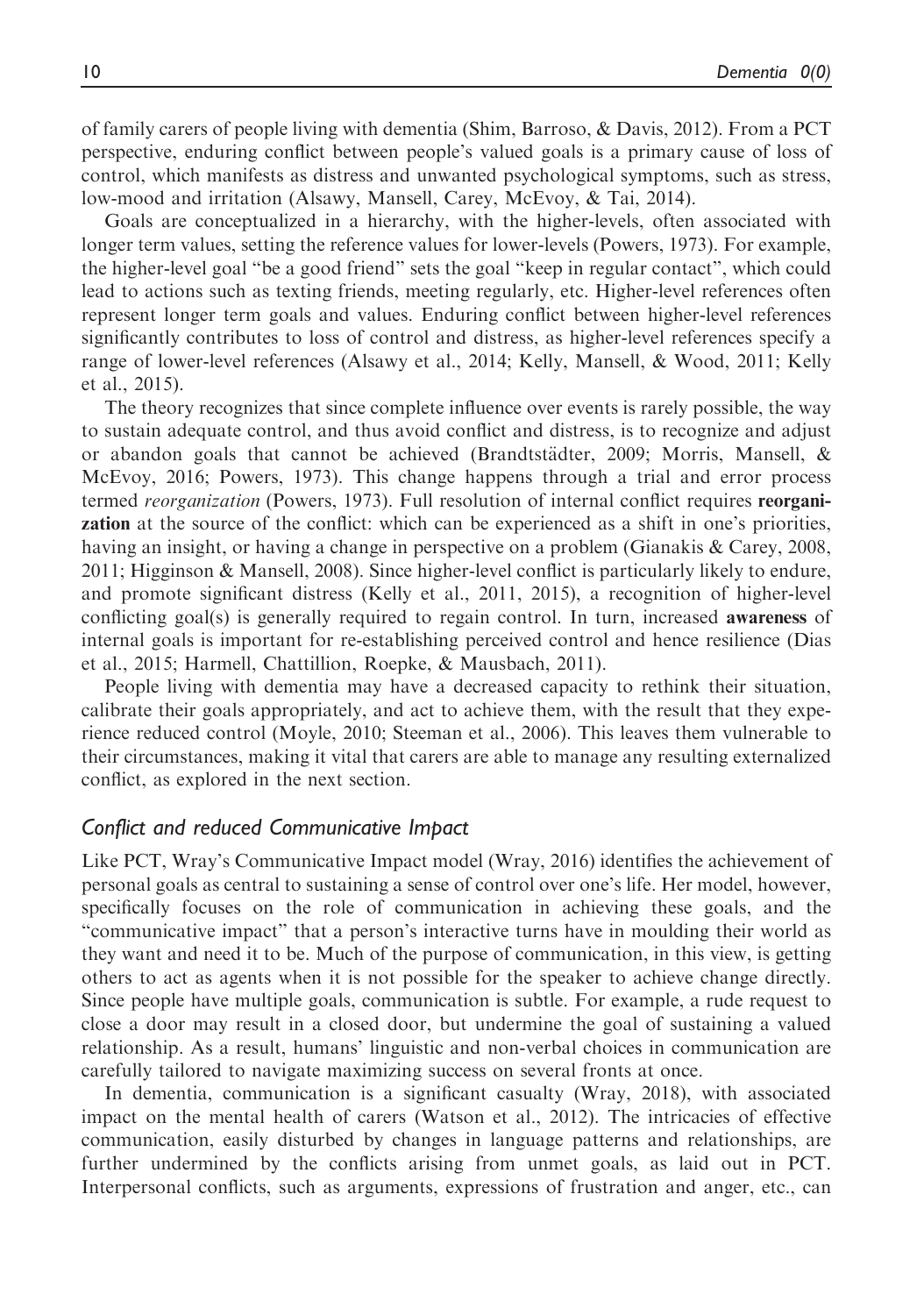of family carers of people living with dementia (Shim, Barroso, & Davis, 2012). From a PCT perspective, enduring conflict between people's valued goals is a primary cause of loss of control, which manifests as distress and unwanted psychological symptoms, such as stress, low-mood and irritation (Alsawy, Mansell, Carey, McEvoy, & Tai, 2014).

Goals are conceptualized in a hierarchy, with the higher-levels, often associated with longer term values, setting the reference values for lower-levels (Powers, 1973). For example, the higher-level goal "be a good friend" sets the goal "keep in regular contact", which could lead to actions such as texting friends, meeting regularly, etc. Higher-level references often represent longer term goals and values. Enduring conflict between higher-level references significantly contributes to loss of control and distress, as higher-level references specify a range of lower-level references (Alsawy et al., 2014; Kelly, Mansell, & Wood, 2011; Kelly et al., 2015).

The theory recognizes that since complete influence over events is rarely possible, the way to sustain adequate control, and thus avoid conflict and distress, is to recognize and adjust or abandon goals that cannot be achieved (Brandtstädter, 2009; Morris, Mansell,  $\&$ McEvoy, 2016; Powers, 1973). This change happens through a trial and error process termed *reorganization* (Powers, 1973). Full resolution of internal conflict requires **reorgani**zation at the source of the conflict: which can be experienced as a shift in one's priorities, having an insight, or having a change in perspective on a problem (Gianakis & Carey, 2008, 2011; Higginson & Mansell, 2008). Since higher-level conflict is particularly likely to endure, and promote significant distress (Kelly et al., 2011, 2015), a recognition of higher-level conflicting goal(s) is generally required to regain control. In turn, increased **awareness** of internal goals is important for re-establishing perceived control and hence resilience (Dias et al., 2015; Harmell, Chattillion, Roepke, & Mausbach, 2011).

People living with dementia may have a decreased capacity to rethink their situation, calibrate their goals appropriately, and act to achieve them, with the result that they experience reduced control (Moyle, 2010; Steeman et al., 2006). This leaves them vulnerable to their circumstances, making it vital that carers are able to manage any resulting externalized conflict, as explored in the next section.

#### Conflict and reduced Communicative Impact

Like PCT, Wray's Communicative Impact model (Wray, 2016) identifies the achievement of personal goals as central to sustaining a sense of control over one's life. Her model, however, specifically focuses on the role of communication in achieving these goals, and the "communicative impact" that a person's interactive turns have in moulding their world as they want and need it to be. Much of the purpose of communication, in this view, is getting others to act as agents when it is not possible for the speaker to achieve change directly. Since people have multiple goals, communication is subtle. For example, a rude request to close a door may result in a closed door, but undermine the goal of sustaining a valued relationship. As a result, humans' linguistic and non-verbal choices in communication are carefully tailored to navigate maximizing success on several fronts at once.

In dementia, communication is a significant casualty (Wray, 2018), with associated impact on the mental health of carers (Watson et al., 2012). The intricacies of effective communication, easily disturbed by changes in language patterns and relationships, are further undermined by the conflicts arising from unmet goals, as laid out in PCT. Interpersonal conflicts, such as arguments, expressions of frustration and anger, etc., can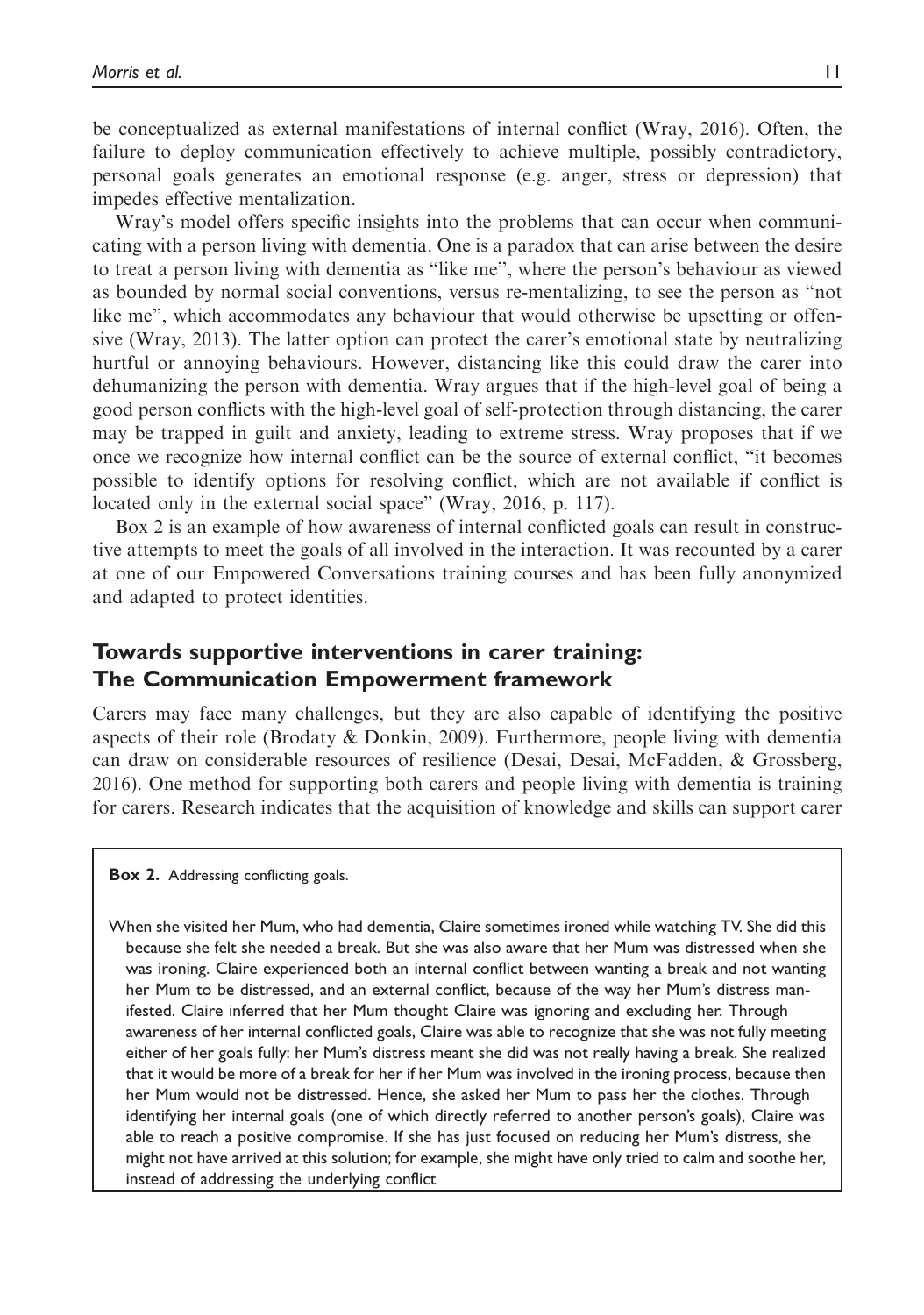be conceptualized as external manifestations of internal conflict (Wray, 2016). Often, the failure to deploy communication effectively to achieve multiple, possibly contradictory, personal goals generates an emotional response (e.g. anger, stress or depression) that impedes effective mentalization.

Wray's model offers specific insights into the problems that can occur when communicating with a person living with dementia. One is a paradox that can arise between the desire to treat a person living with dementia as "like me", where the person's behaviour as viewed as bounded by normal social conventions, versus re-mentalizing, to see the person as "not like me", which accommodates any behaviour that would otherwise be upsetting or offensive (Wray, 2013). The latter option can protect the carer's emotional state by neutralizing hurtful or annoying behaviours. However, distancing like this could draw the carer into dehumanizing the person with dementia. Wray argues that if the high-level goal of being a good person conflicts with the high-level goal of self-protection through distancing, the carer may be trapped in guilt and anxiety, leading to extreme stress. Wray proposes that if we once we recognize how internal conflict can be the source of external conflict, "it becomes possible to identify options for resolving conflict, which are not available if conflict is located only in the external social space" (Wray, 2016, p. 117).

Box 2 is an example of how awareness of internal conflicted goals can result in constructive attempts to meet the goals of all involved in the interaction. It was recounted by a carer at one of our Empowered Conversations training courses and has been fully anonymized and adapted to protect identities.

## Towards supportive interventions in carer training: The Communication Empowerment framework

Carers may face many challenges, but they are also capable of identifying the positive aspects of their role (Brodaty & Donkin, 2009). Furthermore, people living with dementia can draw on considerable resources of resilience (Desai, Desai, McFadden, & Grossberg, 2016). One method for supporting both carers and people living with dementia is training for carers. Research indicates that the acquisition of knowledge and skills can support carer

#### Box 2. Addressing conflicting goals.

When she visited her Mum, who had dementia, Claire sometimes ironed while watching TV. She did this because she felt she needed a break. But she was also aware that her Mum was distressed when she was ironing. Claire experienced both an internal conflict between wanting a break and not wanting her Mum to be distressed, and an external conflict, because of the way her Mum's distress manifested. Claire inferred that her Mum thought Claire was ignoring and excluding her. Through awareness of her internal conflicted goals, Claire was able to recognize that she was not fully meeting either of her goals fully: her Mum's distress meant she did was not really having a break. She realized that it would be more of a break for her if her Mum was involved in the ironing process, because then her Mum would not be distressed. Hence, she asked her Mum to pass her the clothes. Through identifying her internal goals (one of which directly referred to another person's goals), Claire was able to reach a positive compromise. If she has just focused on reducing her Mum's distress, she might not have arrived at this solution; for example, she might have only tried to calm and soothe her, instead of addressing the underlying conflict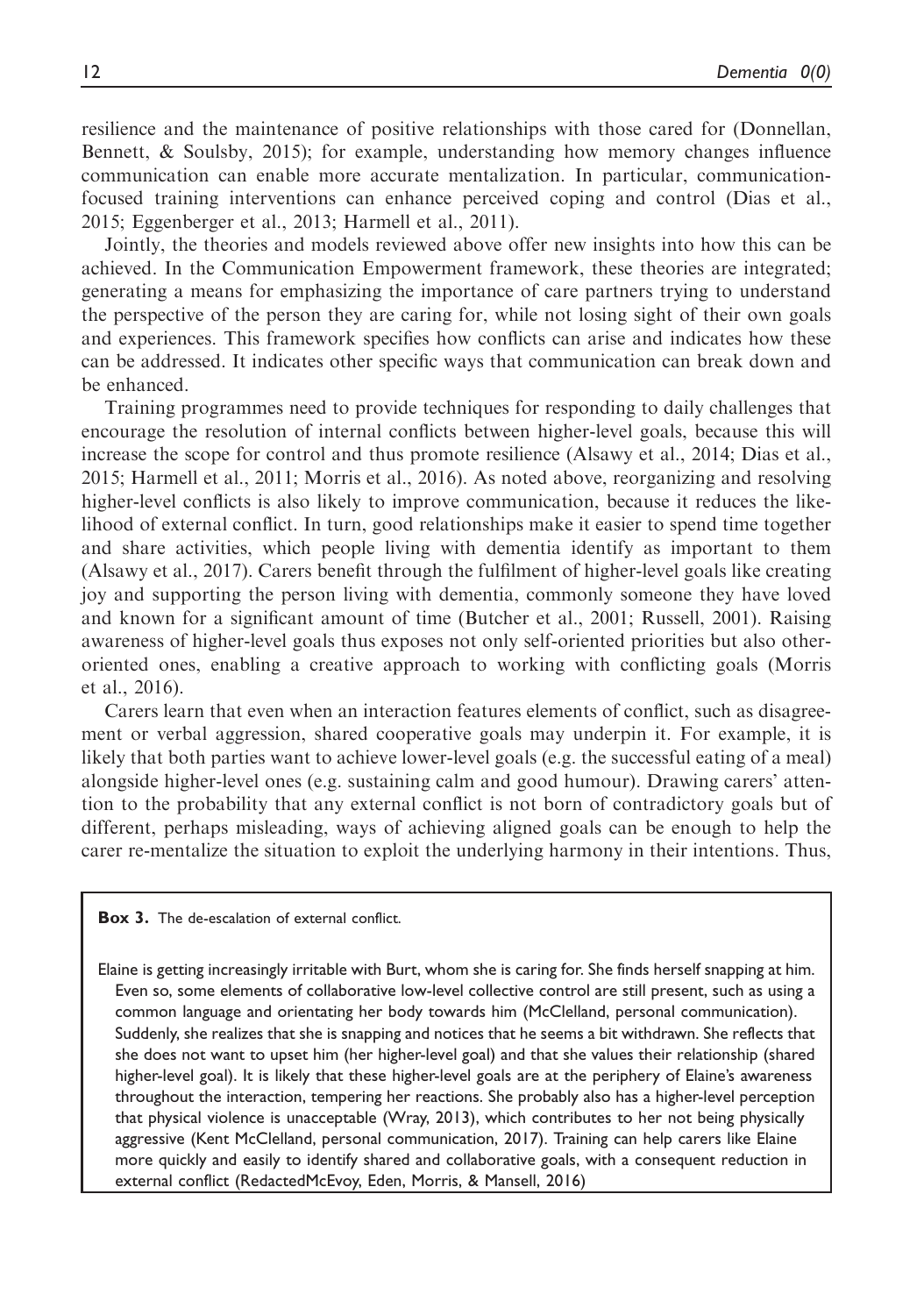resilience and the maintenance of positive relationships with those cared for (Donnellan, Bennett, & Soulsby, 2015); for example, understanding how memory changes influence communication can enable more accurate mentalization. In particular, communicationfocused training interventions can enhance perceived coping and control (Dias et al., 2015; Eggenberger et al., 2013; Harmell et al., 2011).

Jointly, the theories and models reviewed above offer new insights into how this can be achieved. In the Communication Empowerment framework, these theories are integrated; generating a means for emphasizing the importance of care partners trying to understand the perspective of the person they are caring for, while not losing sight of their own goals and experiences. This framework specifies how conflicts can arise and indicates how these can be addressed. It indicates other specific ways that communication can break down and be enhanced.

Training programmes need to provide techniques for responding to daily challenges that encourage the resolution of internal conflicts between higher-level goals, because this will increase the scope for control and thus promote resilience (Alsawy et al., 2014; Dias et al., 2015; Harmell et al., 2011; Morris et al., 2016). As noted above, reorganizing and resolving higher-level conflicts is also likely to improve communication, because it reduces the likelihood of external conflict. In turn, good relationships make it easier to spend time together and share activities, which people living with dementia identify as important to them (Alsawy et al., 2017). Carers benefit through the fulfilment of higher-level goals like creating joy and supporting the person living with dementia, commonly someone they have loved and known for a significant amount of time (Butcher et al., 2001; Russell, 2001). Raising awareness of higher-level goals thus exposes not only self-oriented priorities but also otheroriented ones, enabling a creative approach to working with conflicting goals (Morris et al., 2016).

Carers learn that even when an interaction features elements of conflict, such as disagreement or verbal aggression, shared cooperative goals may underpin it. For example, it is likely that both parties want to achieve lower-level goals (e.g. the successful eating of a meal) alongside higher-level ones (e.g. sustaining calm and good humour). Drawing carers' attention to the probability that any external conflict is not born of contradictory goals but of different, perhaps misleading, ways of achieving aligned goals can be enough to help the carer re-mentalize the situation to exploit the underlying harmony in their intentions. Thus,

Box 3. The de-escalation of external conflict.

Elaine is getting increasingly irritable with Burt, whom she is caring for. She finds herself snapping at him. Even so, some elements of collaborative low-level collective control are still present, such as using a common language and orientating her body towards him (McClelland, personal communication). Suddenly, she realizes that she is snapping and notices that he seems a bit withdrawn. She reflects that she does not want to upset him (her higher-level goal) and that she values their relationship (shared higher-level goal). It is likely that these higher-level goals are at the periphery of Elaine's awareness throughout the interaction, tempering her reactions. She probably also has a higher-level perception that physical violence is unacceptable (Wray, 2013), which contributes to her not being physically aggressive (Kent McClelland, personal communication, 2017). Training can help carers like Elaine more quickly and easily to identify shared and collaborative goals, with a consequent reduction in external conflict (RedactedMcEvoy, Eden, Morris, & Mansell, 2016)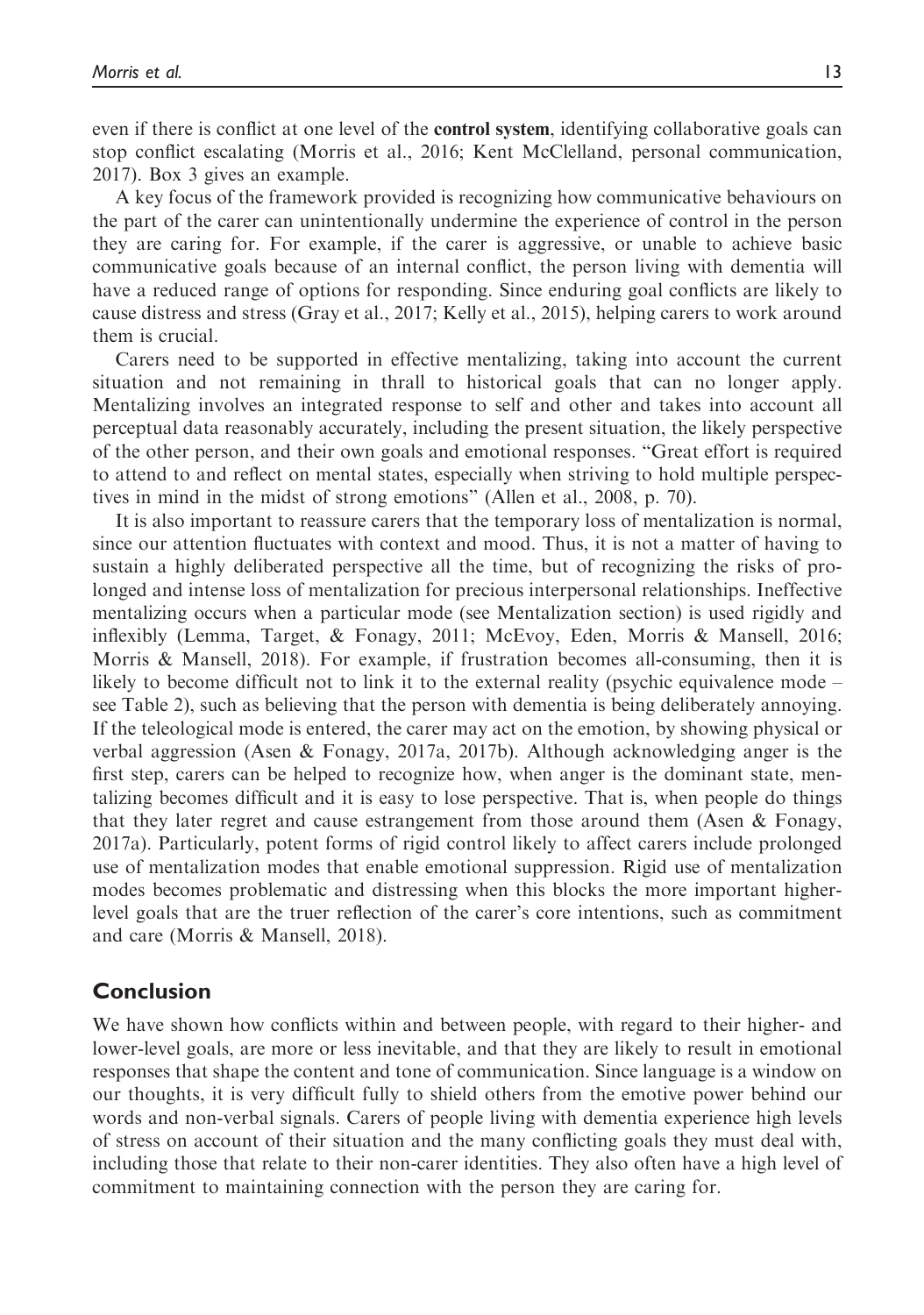even if there is conflict at one level of the **control system**, identifying collaborative goals can stop conflict escalating (Morris et al., 2016; Kent McClelland, personal communication, 2017). Box 3 gives an example.

A key focus of the framework provided is recognizing how communicative behaviours on the part of the carer can unintentionally undermine the experience of control in the person they are caring for. For example, if the carer is aggressive, or unable to achieve basic communicative goals because of an internal conflict, the person living with dementia will have a reduced range of options for responding. Since enduring goal conflicts are likely to cause distress and stress (Gray et al., 2017; Kelly et al., 2015), helping carers to work around them is crucial.

Carers need to be supported in effective mentalizing, taking into account the current situation and not remaining in thrall to historical goals that can no longer apply. Mentalizing involves an integrated response to self and other and takes into account all perceptual data reasonably accurately, including the present situation, the likely perspective of the other person, and their own goals and emotional responses. "Great effort is required to attend to and reflect on mental states, especially when striving to hold multiple perspectives in mind in the midst of strong emotions" (Allen et al., 2008, p. 70).

It is also important to reassure carers that the temporary loss of mentalization is normal, since our attention fluctuates with context and mood. Thus, it is not a matter of having to sustain a highly deliberated perspective all the time, but of recognizing the risks of prolonged and intense loss of mentalization for precious interpersonal relationships. Ineffective mentalizing occurs when a particular mode (see Mentalization section) is used rigidly and inflexibly (Lemma, Target, & Fonagy, 2011; McEvoy, Eden, Morris & Mansell, 2016; Morris & Mansell, 2018). For example, if frustration becomes all-consuming, then it is likely to become difficult not to link it to the external reality (psychic equivalence mode – see Table 2), such as believing that the person with dementia is being deliberately annoying. If the teleological mode is entered, the carer may act on the emotion, by showing physical or verbal aggression (Asen & Fonagy, 2017a, 2017b). Although acknowledging anger is the first step, carers can be helped to recognize how, when anger is the dominant state, mentalizing becomes difficult and it is easy to lose perspective. That is, when people do things that they later regret and cause estrangement from those around them (Asen  $\&$  Fonagy, 2017a). Particularly, potent forms of rigid control likely to affect carers include prolonged use of mentalization modes that enable emotional suppression. Rigid use of mentalization modes becomes problematic and distressing when this blocks the more important higherlevel goals that are the truer reflection of the carer's core intentions, such as commitment and care (Morris & Mansell, 2018).

## Conclusion

We have shown how conflicts within and between people, with regard to their higher- and lower-level goals, are more or less inevitable, and that they are likely to result in emotional responses that shape the content and tone of communication. Since language is a window on our thoughts, it is very difficult fully to shield others from the emotive power behind our words and non-verbal signals. Carers of people living with dementia experience high levels of stress on account of their situation and the many conflicting goals they must deal with, including those that relate to their non-carer identities. They also often have a high level of commitment to maintaining connection with the person they are caring for.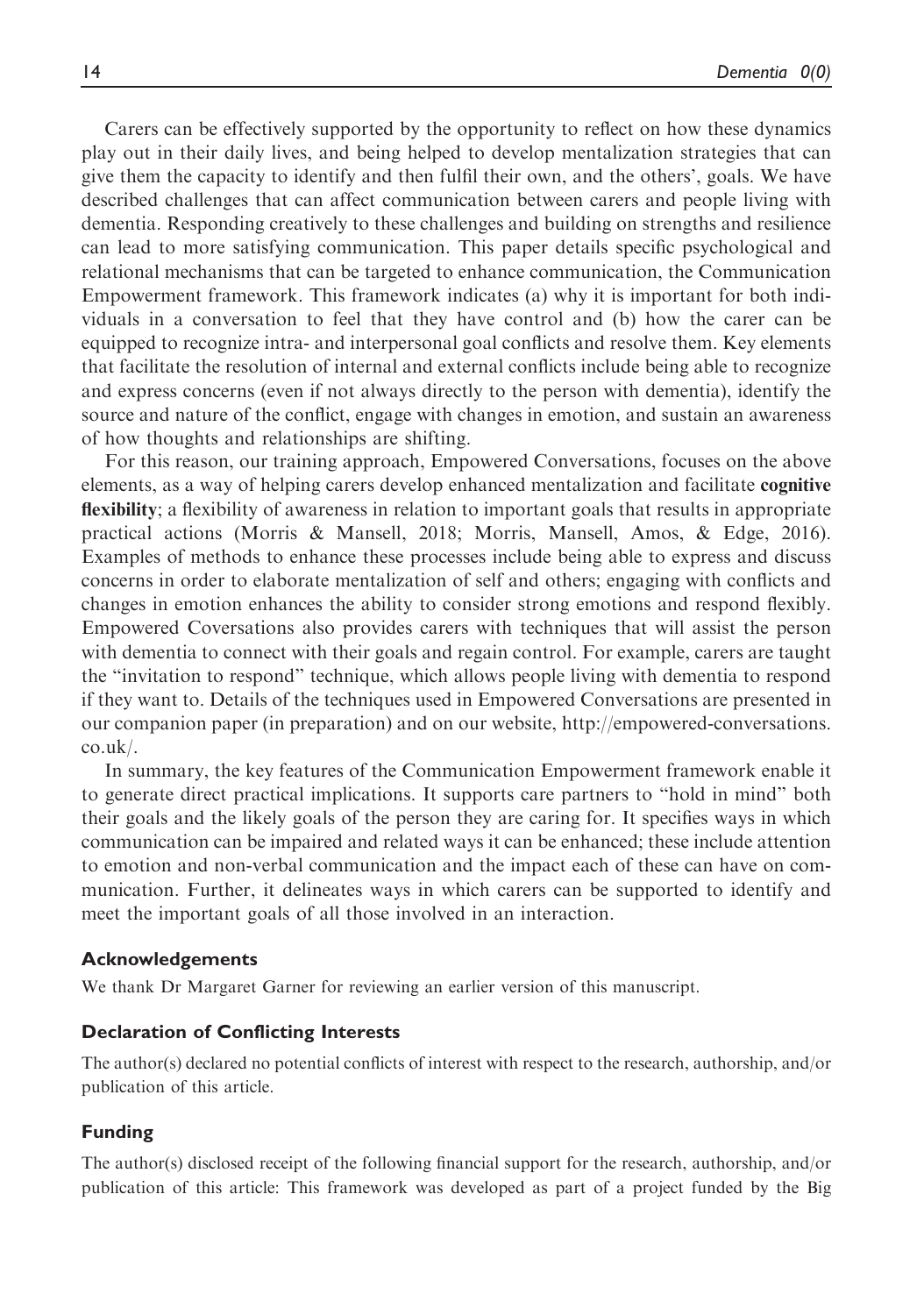Carers can be effectively supported by the opportunity to reflect on how these dynamics play out in their daily lives, and being helped to develop mentalization strategies that can give them the capacity to identify and then fulfil their own, and the others', goals. We have described challenges that can affect communication between carers and people living with dementia. Responding creatively to these challenges and building on strengths and resilience can lead to more satisfying communication. This paper details specific psychological and relational mechanisms that can be targeted to enhance communication, the Communication Empowerment framework. This framework indicates (a) why it is important for both individuals in a conversation to feel that they have control and (b) how the carer can be equipped to recognize intra- and interpersonal goal conflicts and resolve them. Key elements that facilitate the resolution of internal and external conflicts include being able to recognize and express concerns (even if not always directly to the person with dementia), identify the source and nature of the conflict, engage with changes in emotion, and sustain an awareness of how thoughts and relationships are shifting.

For this reason, our training approach, Empowered Conversations, focuses on the above elements, as a way of helping carers develop enhanced mentalization and facilitate cognitive flexibility; a flexibility of awareness in relation to important goals that results in appropriate practical actions (Morris & Mansell, 2018; Morris, Mansell, Amos, & Edge, 2016). Examples of methods to enhance these processes include being able to express and discuss concerns in order to elaborate mentalization of self and others; engaging with conflicts and changes in emotion enhances the ability to consider strong emotions and respond flexibly. Empowered Coversations also provides carers with techniques that will assist the person with dementia to connect with their goals and regain control. For example, carers are taught the "invitation to respond" technique, which allows people living with dementia to respond if they want to. Details of the techniques used in Empowered Conversations are presented in our companion paper (in preparation) and on our website, http://empowered-conversations. co.uk/.

In summary, the key features of the Communication Empowerment framework enable it to generate direct practical implications. It supports care partners to "hold in mind" both their goals and the likely goals of the person they are caring for. It specifies ways in which communication can be impaired and related ways it can be enhanced; these include attention to emotion and non-verbal communication and the impact each of these can have on communication. Further, it delineates ways in which carers can be supported to identify and meet the important goals of all those involved in an interaction.

#### Acknowledgements

We thank Dr Margaret Garner for reviewing an earlier version of this manuscript.

#### Declaration of Conflicting Interests

The author(s) declared no potential conflicts of interest with respect to the research, authorship, and/or publication of this article.

#### Funding

The author(s) disclosed receipt of the following financial support for the research, authorship, and/or publication of this article: This framework was developed as part of a project funded by the Big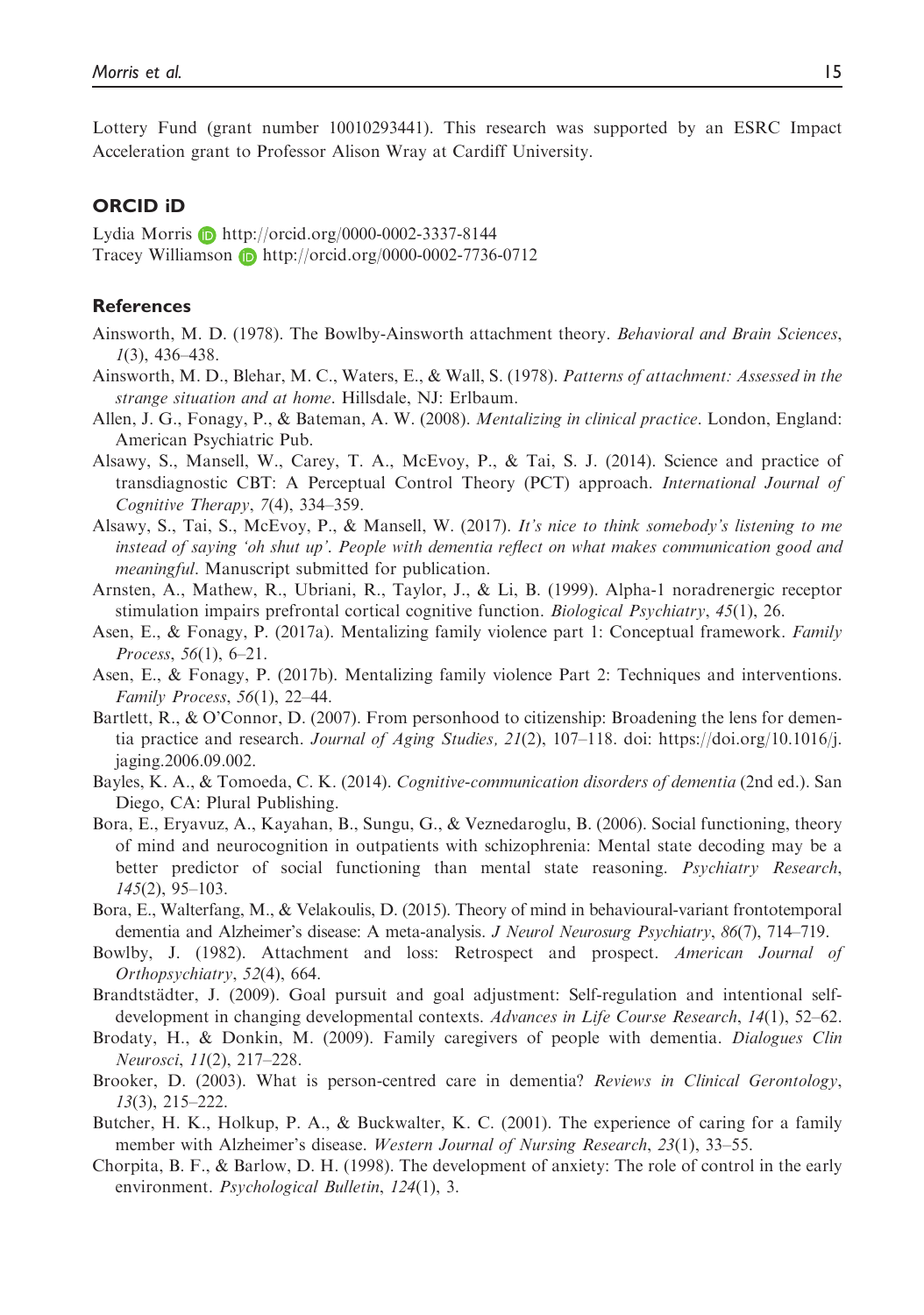Lottery Fund (grant number 10010293441). This research was supported by an ESRC Impact Acceleration grant to Professor Alison Wray at Cardiff University.

#### ORCID iD

Lydia Morris **D** <http://orcid.org/0000-0002-3337-8144> [Tracey Williamson](http://orcid.org/0000-0002-3337-8144) <http://orcid.org/0000-0002-7736-0712>

#### **References**

- Ainsworth, M. D. (1978). The Bowlby-Ainsworth attachment theory. Behavioral and Brain Sciences, 1(3), 436–438.
- Ainsworth, M. D., Blehar, M. C., Waters, E., & Wall, S. (1978). Patterns of attachment: Assessed in the strange situation and at home. Hillsdale, NJ: Erlbaum.
- Allen, J. G., Fonagy, P., & Bateman, A. W. (2008). Mentalizing in clinical practice. London, England: American Psychiatric Pub.
- Alsawy, S., Mansell, W., Carey, T. A., McEvoy, P., & Tai, S. J. (2014). Science and practice of transdiagnostic CBT: A Perceptual Control Theory (PCT) approach. International Journal of Cognitive Therapy, 7(4), 334–359.
- Alsawy, S., Tai, S., McEvoy, P., & Mansell, W. (2017). It's nice to think somebody's listening to me instead of saying 'oh shut up'. People with dementia reflect on what makes communication good and meaningful. Manuscript submitted for publication.
- Arnsten, A., Mathew, R., Ubriani, R., Taylor, J., & Li, B. (1999). Alpha-1 noradrenergic receptor stimulation impairs prefrontal cortical cognitive function. Biological Psychiatry, 45(1), 26.
- Asen, E., & Fonagy, P. (2017a). Mentalizing family violence part 1: Conceptual framework. Family Process, 56(1), 6–21.
- Asen, E., & Fonagy, P. (2017b). Mentalizing family violence Part 2: Techniques and interventions. Family Process, 56(1), 22–44.
- Bartlett, R., & O'Connor, D. (2007). From personhood to citizenship: Broadening the lens for dementia practice and research. Journal of Aging Studies, 21(2), 107–118. doi: https://doi.org/10.1016/j. jaging.2006.09.002.
- Bayles, K. A., & Tomoeda, C. K. (2014). Cognitive-communication disorders of dementia (2nd ed.). San Diego, CA: Plural Publishing.
- Bora, E., Eryavuz, A., Kayahan, B., Sungu, G., & Veznedaroglu, B. (2006). Social functioning, theory of mind and neurocognition in outpatients with schizophrenia: Mental state decoding may be a better predictor of social functioning than mental state reasoning. Psychiatry Research, 145(2), 95–103.
- Bora, E., Walterfang, M., & Velakoulis, D. (2015). Theory of mind in behavioural-variant frontotemporal dementia and Alzheimer's disease: A meta-analysis. J Neurol Neurosurg Psychiatry, 86(7), 714–719.
- Bowlby, J. (1982). Attachment and loss: Retrospect and prospect. American Journal of Orthopsychiatry, 52(4), 664.
- Brandtstädter, J. (2009). Goal pursuit and goal adjustment: Self-regulation and intentional selfdevelopment in changing developmental contexts. Advances in Life Course Research, 14(1), 52–62.
- Brodaty, H., & Donkin, M. (2009). Family caregivers of people with dementia. *Dialogues Clin* Neurosci, 11(2), 217–228.
- Brooker, D. (2003). What is person-centred care in dementia? Reviews in Clinical Gerontology, 13(3), 215–222.
- Butcher, H. K., Holkup, P. A., & Buckwalter, K. C. (2001). The experience of caring for a family member with Alzheimer's disease. Western Journal of Nursing Research, 23(1), 33–55.
- Chorpita, B. F., & Barlow, D. H. (1998). The development of anxiety: The role of control in the early environment. Psychological Bulletin, 124(1), 3.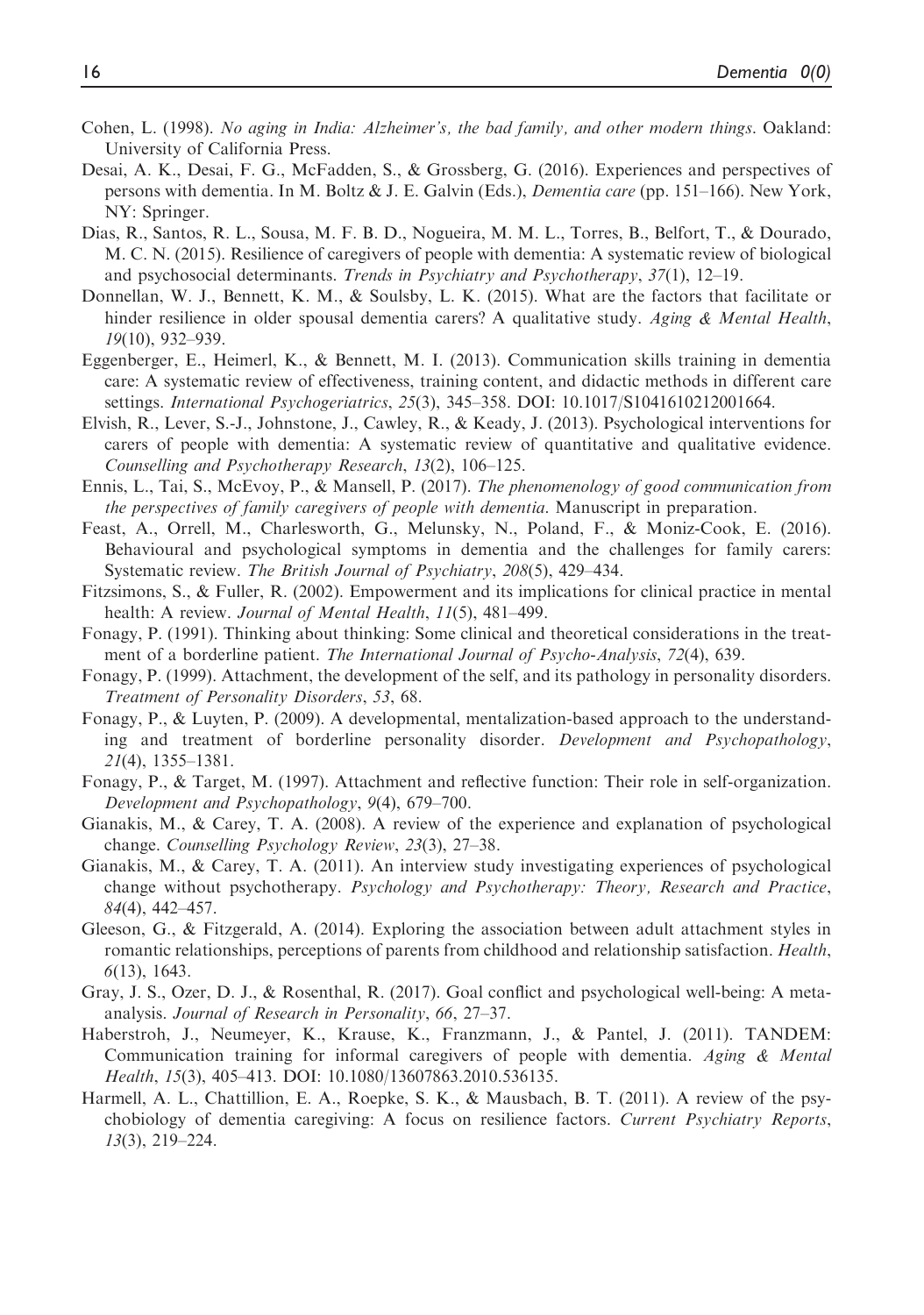- Cohen, L. (1998). No aging in India: Alzheimer's, the bad family, and other modern things. Oakland: University of California Press.
- Desai, A. K., Desai, F. G., McFadden, S., & Grossberg, G. (2016). Experiences and perspectives of persons with dementia. In M. Boltz & J. E. Galvin (Eds.), Dementia care (pp. 151–166). New York, NY: Springer.
- Dias, R., Santos, R. L., Sousa, M. F. B. D., Nogueira, M. M. L., Torres, B., Belfort, T., & Dourado, M. C. N. (2015). Resilience of caregivers of people with dementia: A systematic review of biological and psychosocial determinants. Trends in Psychiatry and Psychotherapy, 37(1), 12–19.
- Donnellan, W. J., Bennett, K. M., & Soulsby, L. K. (2015). What are the factors that facilitate or hinder resilience in older spousal dementia carers? A qualitative study. Aging & Mental Health, 19(10), 932–939.
- Eggenberger, E., Heimerl, K., & Bennett, M. I. (2013). Communication skills training in dementia care: A systematic review of effectiveness, training content, and didactic methods in different care settings. International Psychogeriatrics, 25(3), 345–358. DOI: 10.1017/S1041610212001664.
- Elvish, R., Lever, S.-J., Johnstone, J., Cawley, R., & Keady, J. (2013). Psychological interventions for carers of people with dementia: A systematic review of quantitative and qualitative evidence. Counselling and Psychotherapy Research, 13(2), 106–125.
- Ennis, L., Tai, S., McEvoy, P., & Mansell, P. (2017). The phenomenology of good communication from the perspectives of family caregivers of people with dementia. Manuscript in preparation.
- Feast, A., Orrell, M., Charlesworth, G., Melunsky, N., Poland, F., & Moniz-Cook, E. (2016). Behavioural and psychological symptoms in dementia and the challenges for family carers: Systematic review. The British Journal of Psychiatry, 208(5), 429–434.
- Fitzsimons, S., & Fuller, R. (2002). Empowerment and its implications for clinical practice in mental health: A review. Journal of Mental Health, 11(5), 481-499.
- Fonagy, P. (1991). Thinking about thinking: Some clinical and theoretical considerations in the treatment of a borderline patient. The International Journal of Psycho-Analysis, 72(4), 639.
- Fonagy, P. (1999). Attachment, the development of the self, and its pathology in personality disorders. Treatment of Personality Disorders, 53, 68.
- Fonagy, P., & Luyten, P. (2009). A developmental, mentalization-based approach to the understanding and treatment of borderline personality disorder. Development and Psychopathology, 21(4), 1355–1381.
- Fonagy, P., & Target, M. (1997). Attachment and reflective function: Their role in self-organization. Development and Psychopathology, 9(4), 679–700.
- Gianakis, M., & Carey, T. A. (2008). A review of the experience and explanation of psychological change. Counselling Psychology Review, 23(3), 27–38.
- Gianakis, M., & Carey, T. A. (2011). An interview study investigating experiences of psychological change without psychotherapy. Psychology and Psychotherapy: Theory, Research and Practice, 84(4), 442–457.
- Gleeson, G., & Fitzgerald, A. (2014). Exploring the association between adult attachment styles in romantic relationships, perceptions of parents from childhood and relationship satisfaction. *Health*, 6(13), 1643.
- Gray, J. S., Ozer, D. J., & Rosenthal, R. (2017). Goal conflict and psychological well-being: A metaanalysis. Journal of Research in Personality, 66, 27–37.
- Haberstroh, J., Neumeyer, K., Krause, K., Franzmann, J., & Pantel, J. (2011). TANDEM: Communication training for informal caregivers of people with dementia. Aging  $\&$  Mental Health, 15(3), 405–413. DOI: 10.1080/13607863.2010.536135.
- Harmell, A. L., Chattillion, E. A., Roepke, S. K., & Mausbach, B. T. (2011). A review of the psychobiology of dementia caregiving: A focus on resilience factors. Current Psychiatry Reports, 13(3), 219–224.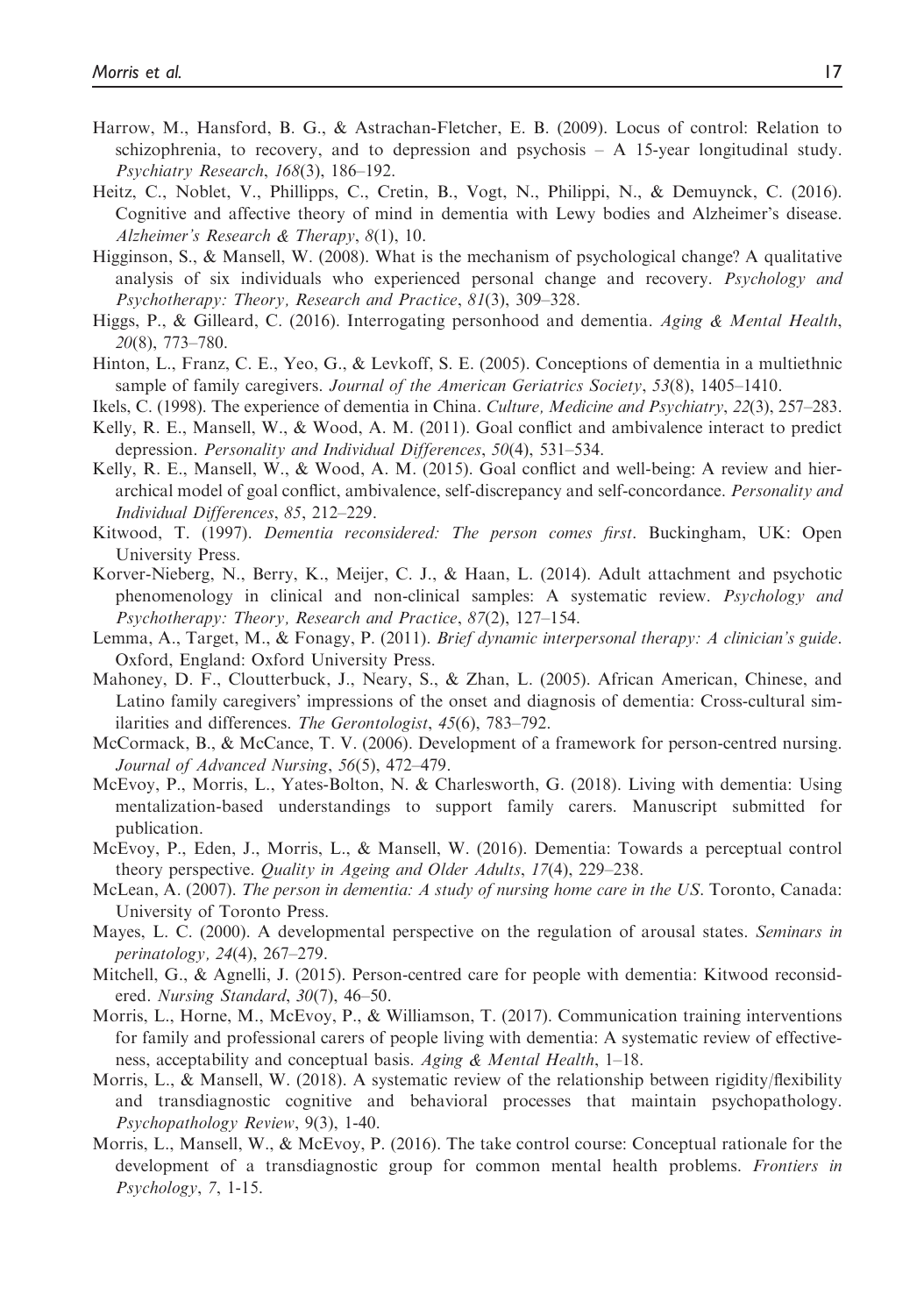- Harrow, M., Hansford, B. G., & Astrachan-Fletcher, E. B. (2009). Locus of control: Relation to schizophrenia, to recovery, and to depression and psychosis  $- A$  15-year longitudinal study. Psychiatry Research, 168(3), 186–192.
- Heitz, C., Noblet, V., Phillipps, C., Cretin, B., Vogt, N., Philippi, N., & Demuynck, C. (2016). Cognitive and affective theory of mind in dementia with Lewy bodies and Alzheimer's disease. Alzheimer's Research & Therapy, 8(1), 10.
- Higginson, S., & Mansell, W. (2008). What is the mechanism of psychological change? A qualitative analysis of six individuals who experienced personal change and recovery. Psychology and Psychotherapy: Theory, Research and Practice, 81(3), 309–328.
- Higgs, P., & Gilleard, C. (2016). Interrogating personhood and dementia. Aging & Mental Health, 20(8), 773–780.
- Hinton, L., Franz, C. E., Yeo, G., & Levkoff, S. E. (2005). Conceptions of dementia in a multiethnic sample of family caregivers. Journal of the American Geriatrics Society, 53(8), 1405–1410.
- Ikels, C. (1998). The experience of dementia in China. Culture, Medicine and Psychiatry, 22(3), 257–283.
- Kelly, R. E., Mansell, W., & Wood, A. M. (2011). Goal conflict and ambivalence interact to predict depression. Personality and Individual Differences, 50(4), 531–534.
- Kelly, R. E., Mansell, W., & Wood, A. M. (2015). Goal conflict and well-being: A review and hierarchical model of goal conflict, ambivalence, self-discrepancy and self-concordance. Personality and Individual Differences, 85, 212–229.
- Kitwood, T. (1997). Dementia reconsidered: The person comes first. Buckingham, UK: Open University Press.
- Korver-Nieberg, N., Berry, K., Meijer, C. J., & Haan, L. (2014). Adult attachment and psychotic phenomenology in clinical and non-clinical samples: A systematic review. Psychology and Psychotherapy: Theory, Research and Practice, 87(2), 127–154.
- Lemma, A., Target, M., & Fonagy, P. (2011). Brief dynamic interpersonal therapy: A clinician's guide. Oxford, England: Oxford University Press.
- Mahoney, D. F., Cloutterbuck, J., Neary, S., & Zhan, L. (2005). African American, Chinese, and Latino family caregivers' impressions of the onset and diagnosis of dementia: Cross-cultural similarities and differences. The Gerontologist, 45(6), 783–792.
- McCormack, B., & McCance, T. V. (2006). Development of a framework for person-centred nursing. Journal of Advanced Nursing, 56(5), 472–479.
- McEvoy, P., Morris, L., Yates-Bolton, N. & Charlesworth, G. (2018). Living with dementia: Using mentalization-based understandings to support family carers. Manuscript submitted for publication.
- McEvoy, P., Eden, J., Morris, L., & Mansell, W. (2016). Dementia: Towards a perceptual control theory perspective. Quality in Ageing and Older Adults, 17(4), 229–238.
- McLean, A. (2007). The person in dementia: A study of nursing home care in the US. Toronto, Canada: University of Toronto Press.
- Mayes, L. C. (2000). A developmental perspective on the regulation of arousal states. Seminars in perinatology, 24(4), 267–279.
- Mitchell, G., & Agnelli, J. (2015). Person-centred care for people with dementia: Kitwood reconsidered. Nursing Standard, 30(7), 46–50.
- Morris, L., Horne, M., McEvoy, P., & Williamson, T. (2017). Communication training interventions for family and professional carers of people living with dementia: A systematic review of effectiveness, acceptability and conceptual basis. Aging  $\&$  Mental Health, 1–18.
- Morris, L., & Mansell, W. (2018). A systematic review of the relationship between rigidity/flexibility and transdiagnostic cognitive and behavioral processes that maintain psychopathology. Psychopathology Review, 9(3), 1-40.
- Morris, L., Mansell, W., & McEvoy, P. (2016). The take control course: Conceptual rationale for the development of a transdiagnostic group for common mental health problems. *Frontiers in* Psychology, 7, 1-15.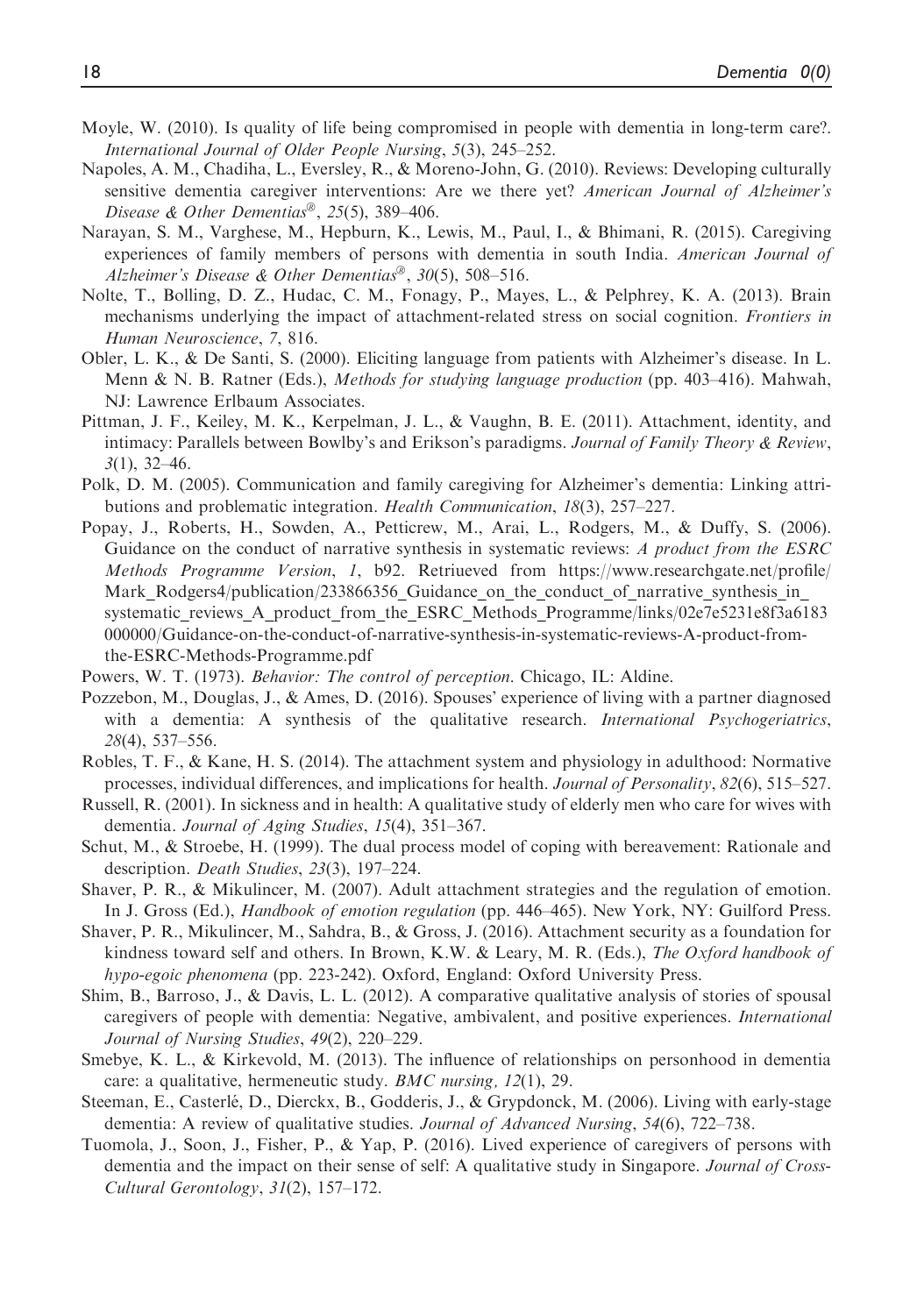- Moyle, W. (2010). Is quality of life being compromised in people with dementia in long-term care?. International Journal of Older People Nursing, 5(3), 245–252.
- Napoles, A. M., Chadiha, L., Eversley, R., & Moreno-John, G. (2010). Reviews: Developing culturally sensitive dementia caregiver interventions: Are we there yet? American Journal of Alzheimer's Disease & Other Dementias®, 25(5), 389-406.
- Narayan, S. M., Varghese, M., Hepburn, K., Lewis, M., Paul, I., & Bhimani, R. (2015). Caregiving experiences of family members of persons with dementia in south India. American Journal of Alzheimer's Disease & Other Dementias®,  $30(5)$ , 508-516.
- Nolte, T., Bolling, D. Z., Hudac, C. M., Fonagy, P., Mayes, L., & Pelphrey, K. A. (2013). Brain mechanisms underlying the impact of attachment-related stress on social cognition. Frontiers in Human Neuroscience, 7, 816.
- Obler, L. K., & De Santi, S. (2000). Eliciting language from patients with Alzheimer's disease. In L. Menn & N. B. Ratner (Eds.), Methods for studying language production (pp. 403–416). Mahwah, NJ: Lawrence Erlbaum Associates.
- Pittman, J. F., Keiley, M. K., Kerpelman, J. L., & Vaughn, B. E. (2011). Attachment, identity, and intimacy: Parallels between Bowlby's and Erikson's paradigms. Journal of Family Theory & Review,  $3(1)$ , 32–46.
- Polk, D. M. (2005). Communication and family caregiving for Alzheimer's dementia: Linking attributions and problematic integration. Health Communication, 18(3), 257–227.
- Popay, J., Roberts, H., Sowden, A., Petticrew, M., Arai, L., Rodgers, M., & Duffy, S. (2006). Guidance on the conduct of narrative synthesis in systematic reviews: A product from the ESRC Methods Programme Version, 1, b92. Retriueved from https://www.researchgate.net/profile/ Mark\_Rodgers4/publication/233866356\_Guidance\_on\_the\_conduct\_of\_narrative\_synthesis\_in\_ systematic\_reviews\_A\_product\_from\_the\_ESRC\_Methods\_Programme/links/02e7e5231e8f3a6183 000000/Guidance-on-the-conduct-of-narrative-synthesis-in-systematic-reviews-A-product-fromthe-ESRC-Methods-Programme.pdf
- Powers, W. T. (1973). Behavior: The control of perception. Chicago, IL: Aldine.
- Pozzebon, M., Douglas, J., & Ames, D. (2016). Spouses' experience of living with a partner diagnosed with a dementia: A synthesis of the qualitative research. *International Psychogeriatrics*, 28(4), 537–556.
- Robles, T. F., & Kane, H. S. (2014). The attachment system and physiology in adulthood: Normative processes, individual differences, and implications for health. Journal of Personality, 82(6), 515–527.
- Russell, R. (2001). In sickness and in health: A qualitative study of elderly men who care for wives with dementia. Journal of Aging Studies, 15(4), 351–367.
- Schut, M., & Stroebe, H. (1999). The dual process model of coping with bereavement: Rationale and description. Death Studies, 23(3), 197–224.
- Shaver, P. R., & Mikulincer, M. (2007). Adult attachment strategies and the regulation of emotion. In J. Gross (Ed.), *Handbook of emotion regulation* (pp. 446–465). New York, NY: Guilford Press.
- Shaver, P. R., Mikulincer, M., Sahdra, B., & Gross, J. (2016). Attachment security as a foundation for kindness toward self and others. In Brown, K.W. & Leary, M. R. (Eds.), The Oxford handbook of hypo-egoic phenomena (pp. 223-242). Oxford, England: Oxford University Press.
- Shim, B., Barroso, J., & Davis, L. L. (2012). A comparative qualitative analysis of stories of spousal caregivers of people with dementia: Negative, ambivalent, and positive experiences. International Journal of Nursing Studies, 49(2), 220–229.
- Smebye, K. L., & Kirkevold, M. (2013). The influence of relationships on personhood in dementia care: a qualitative, hermeneutic study. BMC nursing, 12(1), 29.
- Steeman, E., Casterlé, D., Dierckx, B., Godderis, J., & Grypdonck, M. (2006). Living with early-stage dementia: A review of qualitative studies. Journal of Advanced Nursing, 54(6), 722–738.
- Tuomola, J., Soon, J., Fisher, P., & Yap, P. (2016). Lived experience of caregivers of persons with dementia and the impact on their sense of self: A qualitative study in Singapore. Journal of Cross-Cultural Gerontology, 31(2), 157–172.